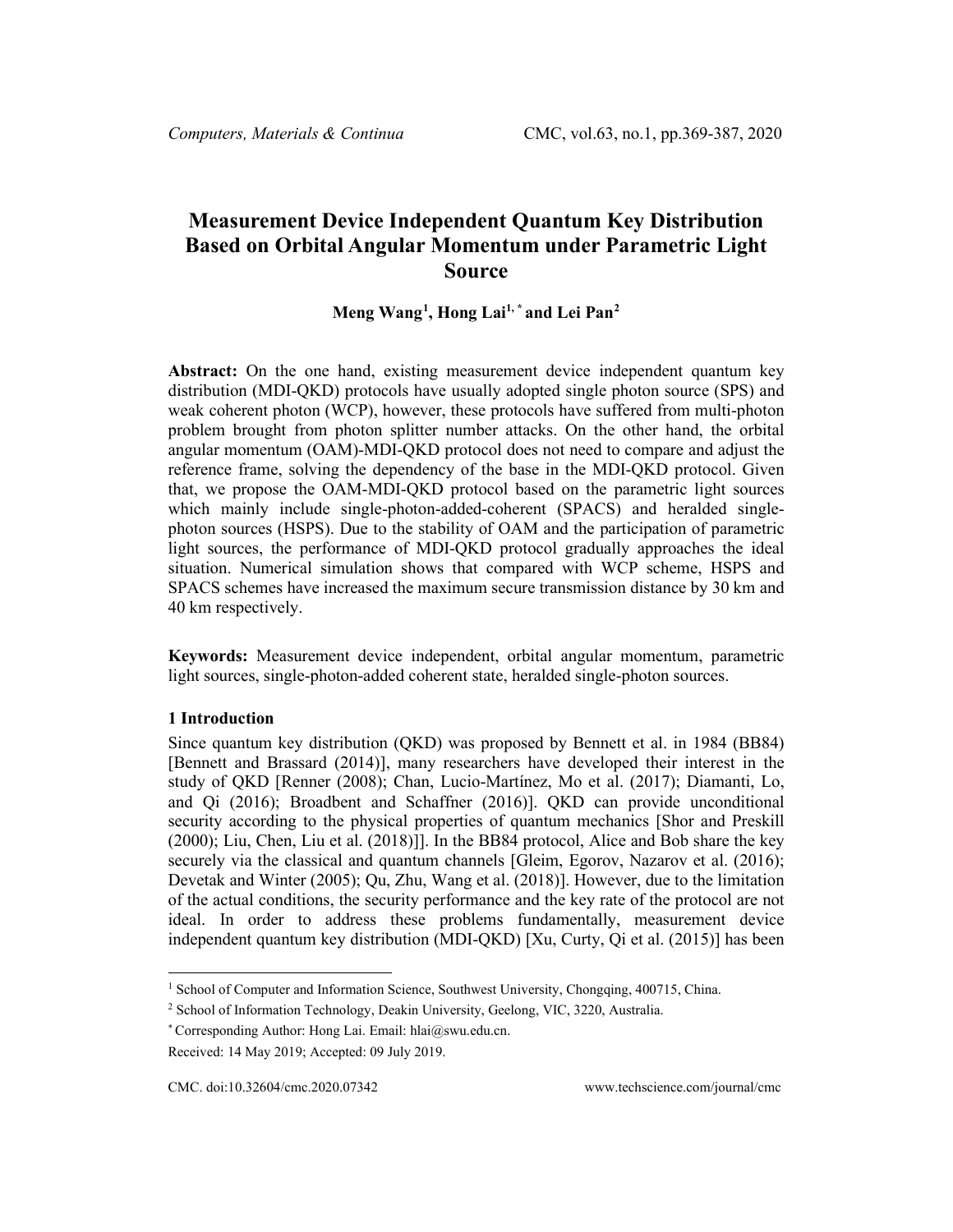# **Measurement Device Independent Quantum Key Distribution Based on Orbital Angular Momentum under Parametric Light Source**

# **Meng Wang[1](#page-0-0) , Hong Lai1, \* and Lei Pan[2](#page-0-1)**

**Abstract:** On the one hand, existing measurement device independent quantum key distribution (MDI-QKD) protocols have usually adopted single photon source (SPS) and weak coherent photon (WCP), however, these protocols have suffered from multi-photon problem brought from photon splitter number attacks. On the other hand, the orbital angular momentum (OAM)-MDI-QKD protocol does not need to compare and adjust the reference frame, solving the dependency of the base in the MDI-QKD protocol. Given that, we propose the OAM-MDI-QKD protocol based on the parametric light sources which mainly include single-photon-added-coherent (SPACS) and heralded singlephoton sources (HSPS). Due to the stability of OAM and the participation of parametric light sources, the performance of MDI-QKD protocol gradually approaches the ideal situation. Numerical simulation shows that compared with WCP scheme, HSPS and SPACS schemes have increased the maximum secure transmission distance by 30 km and 40 km respectively.

**Keywords:** Measurement device independent, orbital angular momentum, parametric light sources, single-photon-added coherent state, heralded single-photon sources.

#### **1 Introduction**

Since quantum key distribution (QKD) was proposed by Bennett et al. in 1984 (BB84) [Bennett and Brassard (2014)], many researchers have developed their interest in the study of QKD [Renner (2008); Chan, Lucio-Martínez, Mo et al. (2017); Diamanti, Lo, and Qi (2016); Broadbent and Schaffner (2016)]. QKD can provide unconditional security according to the physical properties of quantum mechanics [Shor and Preskill (2000); Liu, Chen, Liu et al. (2018)]]. In the BB84 protocol, Alice and Bob share the key securely via the classical and quantum channels [Gleim, Egorov, Nazarov et al. (2016); Devetak and Winter (2005); Qu, Zhu, Wang et al. (2018)]. However, due to the limitation of the actual conditions, the security performance and the key rate of the protocol are not ideal. In order to address these problems fundamentally, measurement device independent quantum key distribution (MDI-QKD) [Xu, Curty, Qi et al. (2015)] has been

<span id="page-0-0"></span><sup>&</sup>lt;sup>1</sup> School of Computer and Information Science, Southwest University, Chongqing, 400715, China.

<sup>2</sup> School of Information Technology, Deakin University, Geelong, VIC, 3220, Australia.

<sup>\*</sup> Corresponding Author: Hong Lai. Email: hlai@swu.edu.cn.

<span id="page-0-1"></span>Received: 14 May 2019; Accepted: 09 July 2019.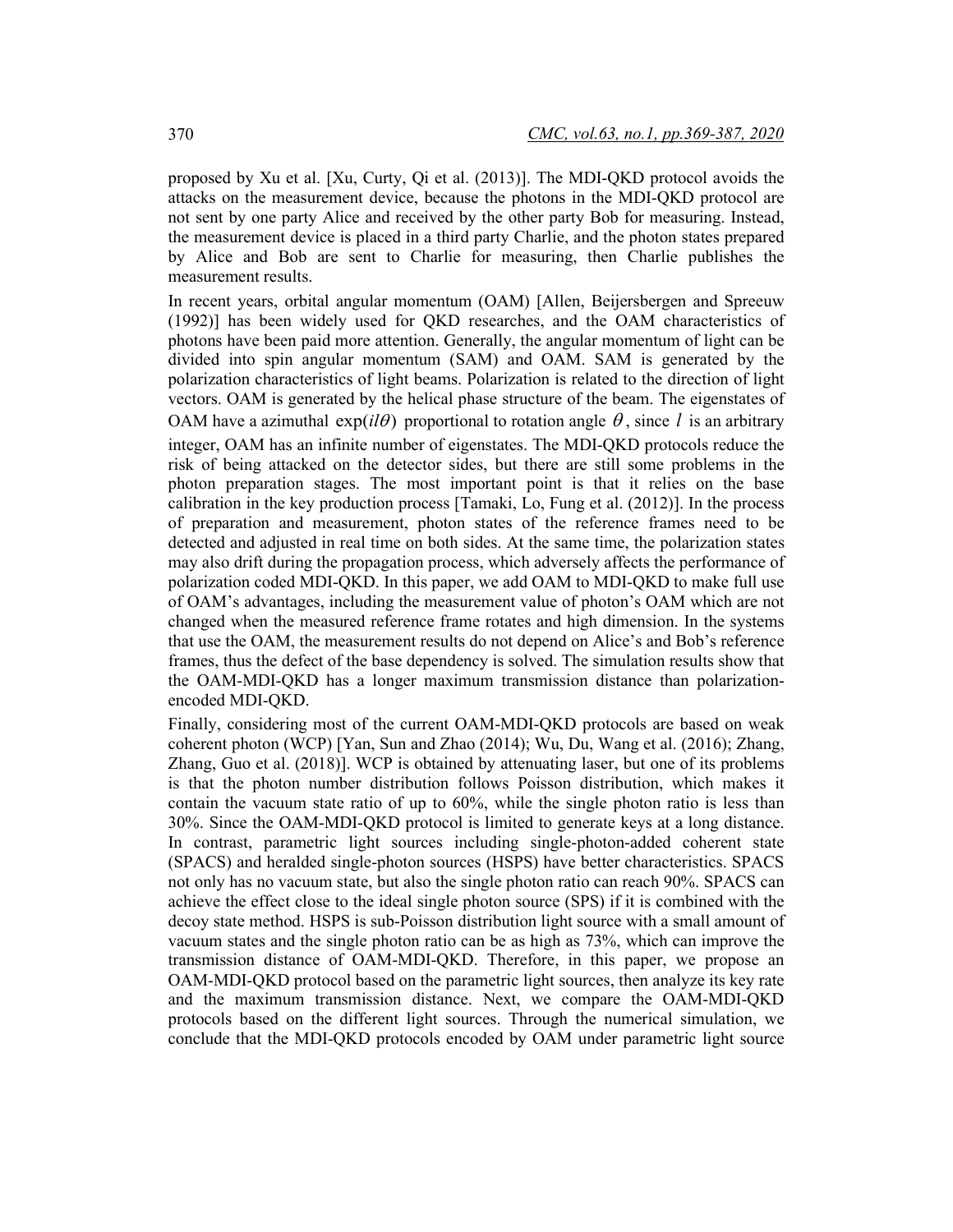proposed by Xu et al. [Xu, Curty, Qi et al. (2013)]. The MDI-QKD protocol avoids the attacks on the measurement device, because the photons in the MDI-QKD protocol are not sent by one party Alice and received by the other party Bob for measuring. Instead, the measurement device is placed in a third party Charlie, and the photon states prepared by Alice and Bob are sent to Charlie for measuring, then Charlie publishes the measurement results.

In recent years, orbital angular momentum (OAM) [Allen, Beijersbergen and Spreeuw (1992)] has been widely used for QKD researches, and the OAM characteristics of photons have been paid more attention. Generally, the angular momentum of light can be divided into spin angular momentum (SAM) and OAM. SAM is generated by the polarization characteristics of light beams. Polarization is related to the direction of light vectors. OAM is generated by the helical phase structure of the beam. The eigenstates of OAM have a azimuthal  $exp(i\theta)$  proportional to rotation angle  $\theta$ , since *l* is an arbitrary integer, OAM has an infinite number of eigenstates. The MDI-QKD protocols reduce the risk of being attacked on the detector sides, but there are still some problems in the photon preparation stages. The most important point is that it relies on the base calibration in the key production process [Tamaki, Lo, Fung et al. (2012)]. In the process of preparation and measurement, photon states of the reference frames need to be detected and adjusted in real time on both sides. At the same time, the polarization states may also drift during the propagation process, which adversely affects the performance of polarization coded MDI-QKD. In this paper, we add OAM to MDI-QKD to make full use of OAM's advantages, including the measurement value of photon's OAM which are not changed when the measured reference frame rotates and high dimension. In the systems that use the OAM, the measurement results do not depend on Alice's and Bob's reference frames, thus the defect of the base dependency is solved. The simulation results show that the OAM-MDI-QKD has a longer maximum transmission distance than polarizationencoded MDI-QKD.

Finally, considering most of the current OAM-MDI-QKD protocols are based on weak coherent photon (WCP) [Yan, Sun and Zhao (2014); Wu, Du, Wang et al. (2016); Zhang, Zhang, Guo et al. (2018)]. WCP is obtained by attenuating laser, but one of its problems is that the photon number distribution follows Poisson distribution, which makes it contain the vacuum state ratio of up to 60%, while the single photon ratio is less than 30%. Since the OAM-MDI-QKD protocol is limited to generate keys at a long distance. In contrast, parametric light sources including single-photon-added coherent state (SPACS) and heralded single-photon sources (HSPS) have better characteristics. SPACS not only has no vacuum state, but also the single photon ratio can reach 90%. SPACS can achieve the effect close to the ideal single photon source (SPS) if it is combined with the decoy state method. HSPS is sub-Poisson distribution light source with a small amount of vacuum states and the single photon ratio can be as high as 73%, which can improve the transmission distance of OAM-MDI-QKD. Therefore, in this paper, we propose an OAM-MDI-QKD protocol based on the parametric light sources, then analyze its key rate and the maximum transmission distance. Next, we compare the OAM-MDI-QKD protocols based on the different light sources. Through the numerical simulation, we conclude that the MDI-QKD protocols encoded by OAM under parametric light source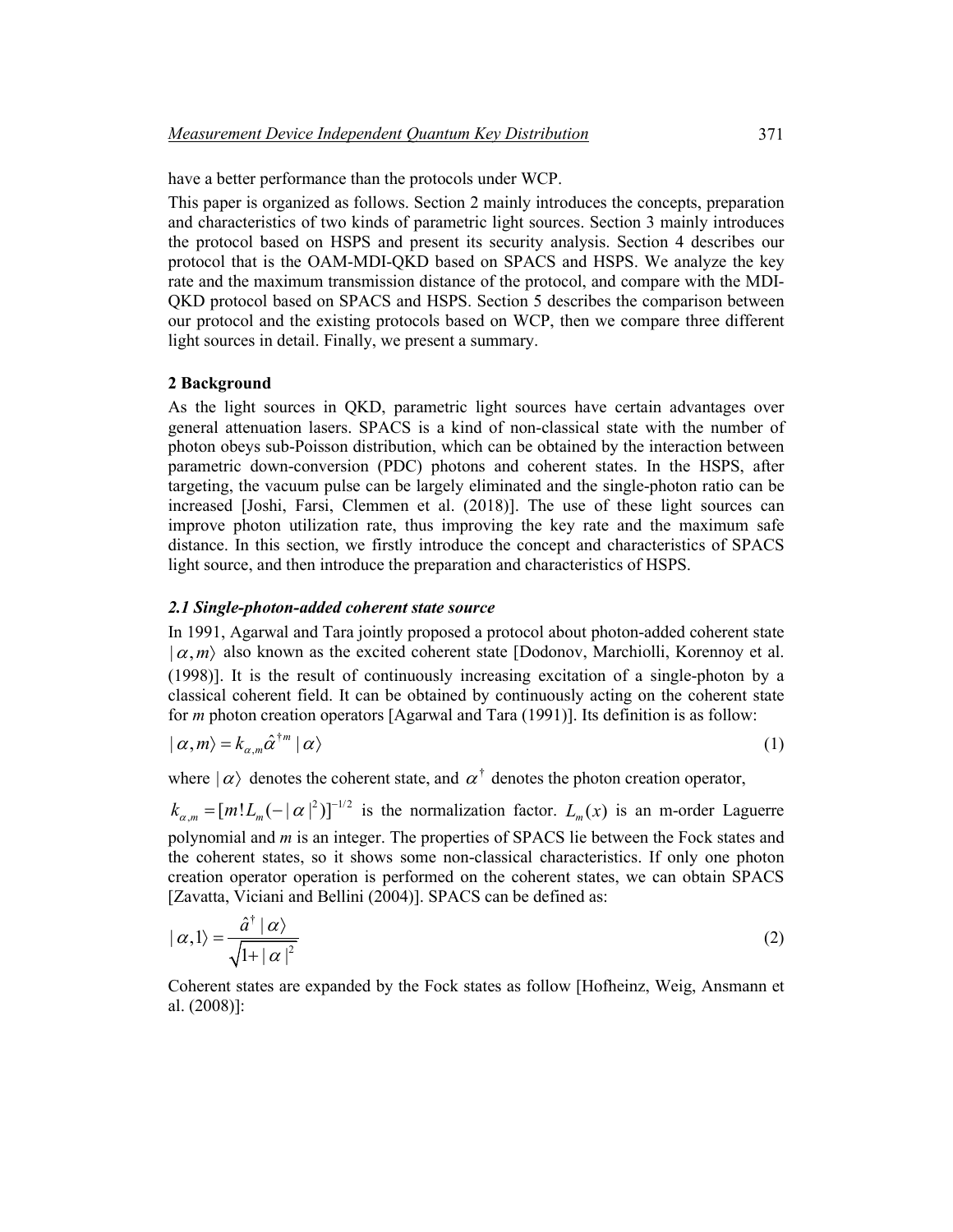have a better performance than the protocols under WCP.

This paper is organized as follows. Section 2 mainly introduces the concepts, preparation and characteristics of two kinds of parametric light sources. Section 3 mainly introduces the protocol based on HSPS and present its security analysis. Section 4 describes our protocol that is the OAM-MDI-QKD based on SPACS and HSPS. We analyze the key rate and the maximum transmission distance of the protocol, and compare with the MDI-QKD protocol based on SPACS and HSPS. Section 5 describes the comparison between our protocol and the existing protocols based on WCP, then we compare three different light sources in detail. Finally, we present a summary.

# **2 Background**

As the light sources in QKD, parametric light sources have certain advantages over general attenuation lasers. SPACS is a kind of non-classical state with the number of photon obeys sub-Poisson distribution, which can be obtained by the interaction between parametric down-conversion (PDC) photons and coherent states. In the HSPS, after targeting, the vacuum pulse can be largely eliminated and the single-photon ratio can be increased [Joshi, Farsi, Clemmen et al. (2018)]. The use of these light sources can improve photon utilization rate, thus improving the key rate and the maximum safe distance. In this section, we firstly introduce the concept and characteristics of SPACS light source, and then introduce the preparation and characteristics of HSPS.

# *2.1 Single-photon-added coherent state source*

In 1991, Agarwal and Tara jointly proposed a protocol about photon-added coherent state  $(\alpha, m)$  also known as the excited coherent state [Dodonov, Marchiolli, Korennoy et al. (1998)]. It is the result of continuously increasing excitation of a single-photon by a classical coherent field. It can be obtained by continuously acting on the coherent state for *m* photon creation operators [Agarwal and Tara (1991)]. Its definition is as follow:

$$
|\alpha,m\rangle = k_{\alpha,m}\hat{\alpha}^{\dagger m}|\alpha\rangle
$$
 (1)

where  $|\alpha\rangle$  denotes the coherent state, and  $\alpha^{\dagger}$  denotes the photon creation operator,

 $k_{\alpha,m} = [m!L_m(-|\alpha|^2)]^{-1/2}$  is the normalization factor.  $L_m(x)$  is an m-order Laguerre polynomial and *m* is an integer. The properties of SPACS lie between the Fock states and the coherent states, so it shows some non-classical characteristics. If only one photon creation operator operation is performed on the coherent states, we can obtain SPACS [Zavatta, Viciani and Bellini (2004)]. SPACS can be defined as:

$$
|\alpha,1\rangle = \frac{\hat{a}^\dagger |\alpha\rangle}{\sqrt{1+|\alpha|^2}}
$$
 (2)

Coherent states are expanded by the Fock states as follow [Hofheinz, Weig, Ansmann et al. (2008)]: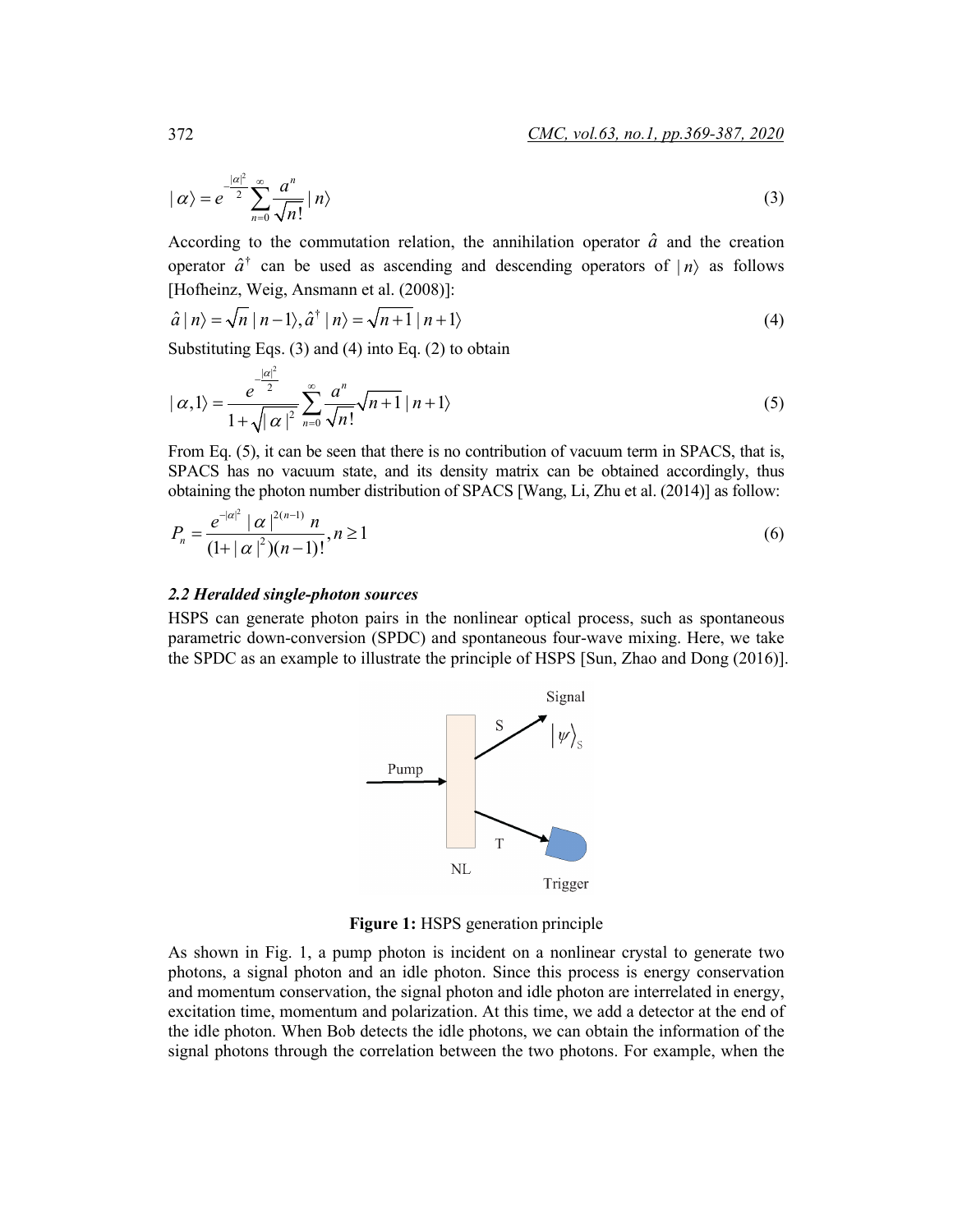$$
|\alpha\rangle = e^{-\frac{|\alpha|^2}{2}} \sum_{n=0}^{\infty} \frac{a^n}{\sqrt{n!}} |n\rangle
$$
 (3)

According to the commutation relation, the annihilation operator  $\hat{a}$  and the creation operator  $\hat{a}^{\dagger}$  can be used as ascending and descending operators of  $|n\rangle$  as follows [Hofheinz, Weig, Ansmann et al. (2008)]:

$$
\hat{a} \mid n \rangle = \sqrt{n} \mid n - 1 \rangle, \hat{a}^{\dagger} \mid n \rangle = \sqrt{n + 1} \mid n + 1 \rangle \tag{4}
$$

Substituting Eqs. (3) and (4) into Eq. (2) to obtain

$$
|\alpha,1\rangle = \frac{e^{\frac{|\alpha|^2}{2}}}{1+\sqrt{|\alpha|^2}}\sum_{n=0}^{\infty}\frac{a^n}{\sqrt{n!}}\sqrt{n+1} |n+1\rangle
$$
 (5)

From Eq. (5), it can be seen that there is no contribution of vacuum term in SPACS, that is, SPACS has no vacuum state, and its density matrix can be obtained accordingly, thus obtaining the photon number distribution of SPACS [Wang, Li, Zhu et al. (2014)] as follow:

$$
P_n = \frac{e^{-|\alpha|^2} |\alpha|^{2(n-1)} n}{(1+|\alpha|^2)(n-1)!}, n \ge 1
$$
\n(6)

# *2.2 Heralded single-photon sources*

HSPS can generate photon pairs in the nonlinear optical process, such as spontaneous parametric down-conversion (SPDC) and spontaneous four-wave mixing. Here, we take the SPDC as an example to illustrate the principle of HSPS [Sun, Zhao and Dong (2016)].



**Figure 1:** HSPS generation principle

As shown in Fig. 1, a pump photon is incident on a nonlinear crystal to generate two photons, a signal photon and an idle photon. Since this process is energy conservation and momentum conservation, the signal photon and idle photon are interrelated in energy, excitation time, momentum and polarization. At this time, we add a detector at the end of the idle photon. When Bob detects the idle photons, we can obtain the information of the signal photons through the correlation between the two photons. For example, when the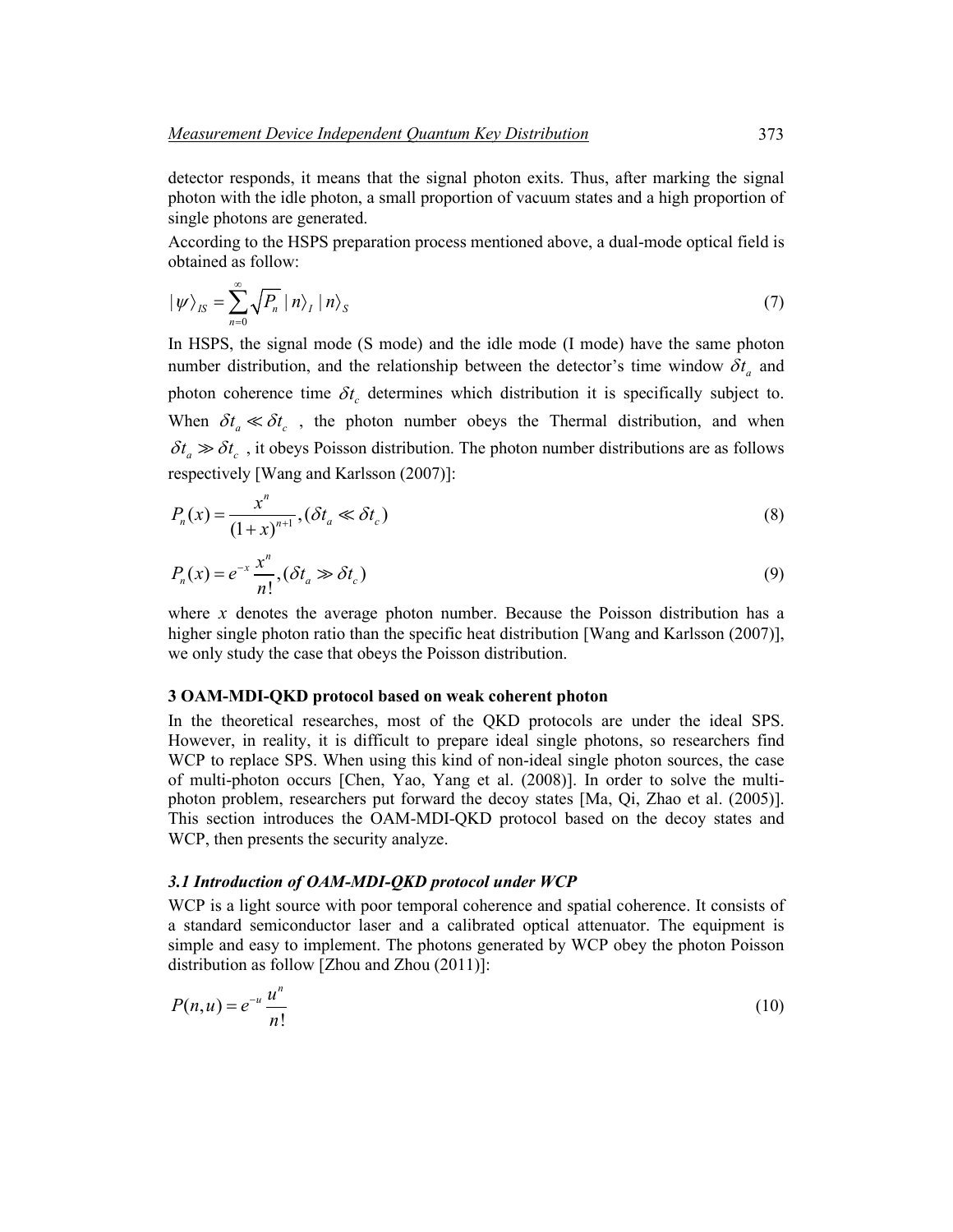detector responds, it means that the signal photon exits. Thus, after marking the signal photon with the idle photon, a small proportion of vacuum states and a high proportion of single photons are generated.

According to the HSPS preparation process mentioned above, a dual-mode optical field is obtained as follow:

$$
|\psi\rangle_{IS} = \sum_{n=0}^{\infty} \sqrt{P_n} |n\rangle_I |n\rangle_S
$$
 (7)

In HSPS, the signal mode (S mode) and the idle mode (I mode) have the same photon number distribution, and the relationship between the detector's time window  $\delta t_a$  and photon coherence time  $\delta t_c$  determines which distribution it is specifically subject to. When  $\delta t_a \ll \delta t_c$ , the photon number obeys the Thermal distribution, and when  $\delta t_a \gg \delta t_c$ , it obeys Poisson distribution. The photon number distributions are as follows respectively [Wang and Karlsson (2007)]:

$$
P_n(x) = \frac{x^n}{(1+x)^{n+1}}, (\delta t_a \ll \delta t_c)
$$
\n<sup>(8)</sup>

$$
P_n(x) = e^{-x} \frac{x^n}{n!}, (\delta t_a \gg \delta t_c)
$$
\n(9)

where *x* denotes the average photon number. Because the Poisson distribution has a higher single photon ratio than the specific heat distribution [Wang and Karlsson (2007)], we only study the case that obeys the Poisson distribution.

# **3 OAM-MDI-QKD protocol based on weak coherent photon**

In the theoretical researches, most of the QKD protocols are under the ideal SPS. However, in reality, it is difficult to prepare ideal single photons, so researchers find WCP to replace SPS. When using this kind of non-ideal single photon sources, the case of multi-photon occurs [Chen, Yao, Yang et al. (2008)]. In order to solve the multiphoton problem, researchers put forward the decoy states [Ma, Qi, Zhao et al. (2005)]. This section introduces the OAM-MDI-QKD protocol based on the decoy states and WCP, then presents the security analyze.

#### *3.1 Introduction of OAM-MDI-QKD protocol under WCP*

WCP is a light source with poor temporal coherence and spatial coherence. It consists of a standard semiconductor laser and a calibrated optical attenuator. The equipment is simple and easy to implement. The photons generated by WCP obey the photon Poisson distribution as follow [Zhou and Zhou (2011)]:

$$
P(n, u) = e^{-u} \frac{u^n}{n!}
$$
\n<sup>(10)</sup>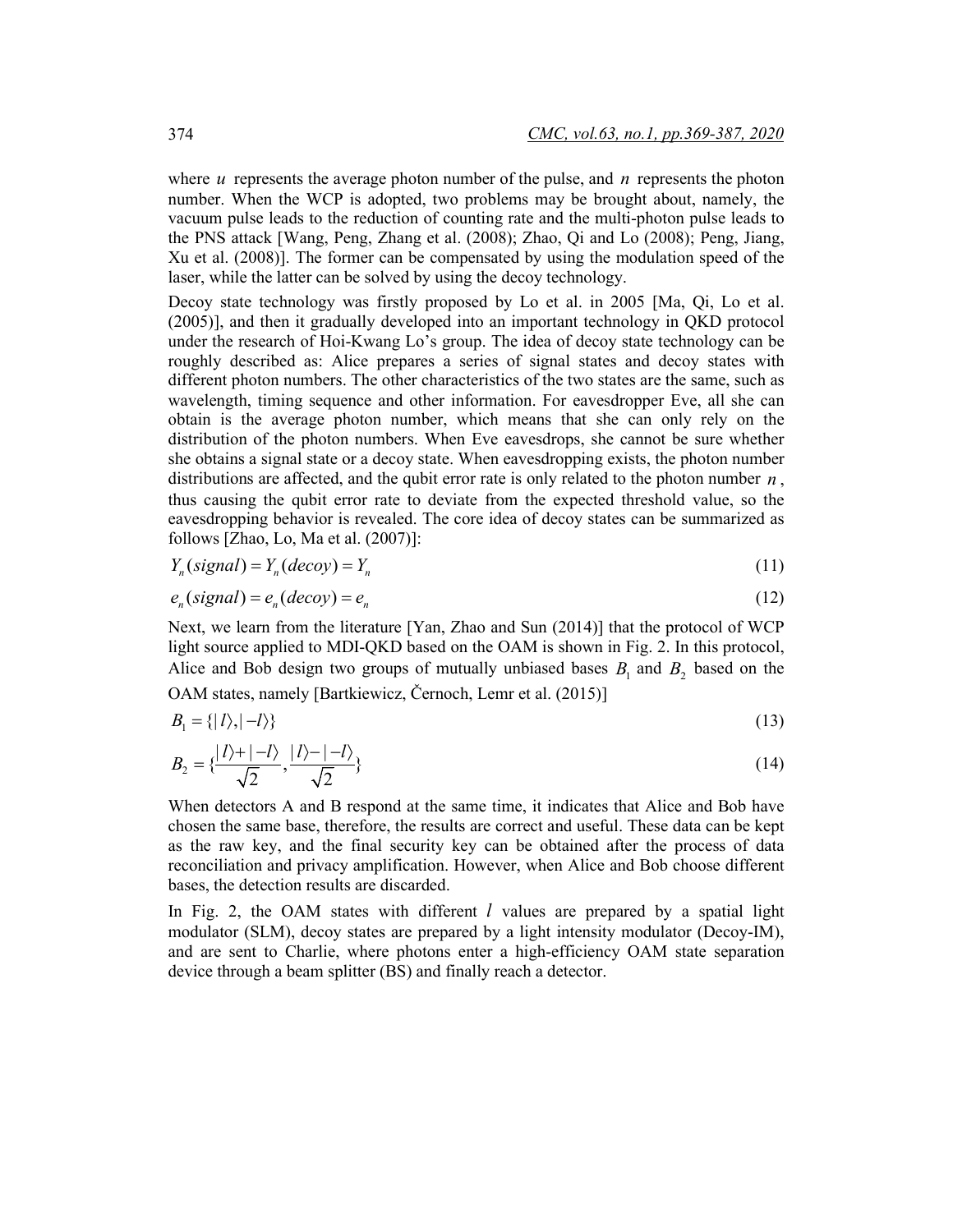where  $u$  represents the average photon number of the pulse, and  $n$  represents the photon number. When the WCP is adopted, two problems may be brought about, namely, the vacuum pulse leads to the reduction of counting rate and the multi-photon pulse leads to the PNS attack [Wang, Peng, Zhang et al. (2008); Zhao, Qi and Lo (2008); Peng, Jiang, Xu et al. (2008)]. The former can be compensated by using the modulation speed of the laser, while the latter can be solved by using the decoy technology.

Decoy state technology was firstly proposed by Lo et al. in 2005 [Ma, Qi, Lo et al. (2005)], and then it gradually developed into an important technology in QKD protocol under the research of Hoi-Kwang Lo's group. The idea of decoy state technology can be roughly described as: Alice prepares a series of signal states and decoy states with different photon numbers. The other characteristics of the two states are the same, such as wavelength, timing sequence and other information. For eavesdropper Eve, all she can obtain is the average photon number, which means that she can only rely on the distribution of the photon numbers. When Eve eavesdrops, she cannot be sure whether she obtains a signal state or a decoy state. When eavesdropping exists, the photon number distributions are affected, and the qubit error rate is only related to the photon number *n* , thus causing the qubit error rate to deviate from the expected threshold value, so the eavesdropping behavior is revealed. The core idea of decoy states can be summarized as follows [Zhao, Lo, Ma et al. (2007)]:

$$
Y_n(signal) = Y_n(decoy) = Y_n
$$
\n(11)

$$
e_n(sizenal) = e_n(decoy) = e_n \tag{12}
$$

Next, we learn from the literature [Yan, Zhao and Sun (2014)] that the protocol of WCP light source applied to MDI-QKD based on the OAM is shown in Fig. 2. In this protocol, Alice and Bob design two groups of mutually unbiased bases  $B_1$  and  $B_2$  based on the OAM states, namely [Bartkiewicz, Černoch, Lemr et al. (2015)]

$$
B_1 = \{ |l\rangle, |-l\rangle \} \tag{13}
$$

$$
B_2 = \{\frac{|l\rangle + |-l\rangle}{\sqrt{2}}, \frac{|l\rangle - |-l\rangle}{\sqrt{2}}\}
$$
\n
$$
(14)
$$

When detectors A and B respond at the same time, it indicates that Alice and Bob have chosen the same base, therefore, the results are correct and useful. These data can be kept as the raw key, and the final security key can be obtained after the process of data reconciliation and privacy amplification. However, when Alice and Bob choose different bases, the detection results are discarded.

In Fig. 2, the OAM states with different *l* values are prepared by a spatial light modulator (SLM), decoy states are prepared by a light intensity modulator (Decoy-IM), and are sent to Charlie, where photons enter a high-efficiency OAM state separation device through a beam splitter (BS) and finally reach a detector.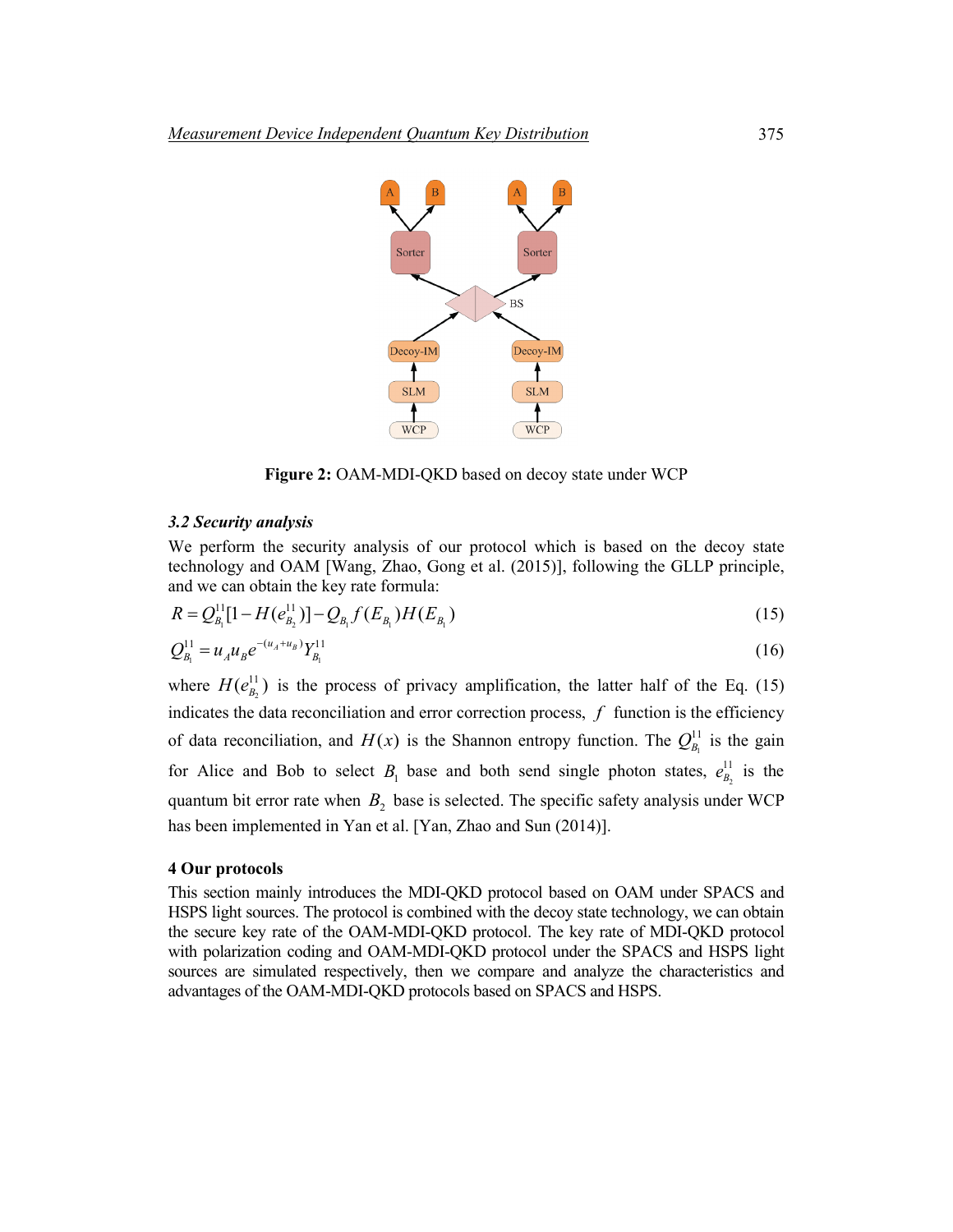

**Figure 2:** OAM-MDI-QKD based on decoy state under WCP

## *3.2 Security analysis*

We perform the security analysis of our protocol which is based on the decoy state technology and OAM [Wang, Zhao, Gong et al. (2015)], following the GLLP principle, and we can obtain the key rate formula:

$$
R = Q_{B_1}^{11}[1 - H(e_{B_2}^{11})] - Q_{B_1}f(E_{B_1})H(E_{B_1})
$$
\n(15)

$$
Q_{B_1}^{11} = u_A u_B e^{-(u_A + u_B)} Y_{B_1}^{11}
$$
 (16)

where  $H(e_{B_2}^{11})$  is the process of privacy amplification, the latter half of the Eq. (15) indicates the data reconciliation and error correction process, *f* function is the efficiency of data reconciliation, and  $H(x)$  is the Shannon entropy function. The  $Q_{B_1}^{11}$  is the gain for Alice and Bob to select  $B_1$  base and both send single photon states,  $e_{B_2}^{11}$  is the quantum bit error rate when  $B_2$  base is selected. The specific safety analysis under WCP has been implemented in Yan et al. [Yan, Zhao and Sun (2014)].

# **4 Our protocols**

This section mainly introduces the MDI-QKD protocol based on OAM under SPACS and HSPS light sources. The protocol is combined with the decoy state technology, we can obtain the secure key rate of the OAM-MDI-QKD protocol. The key rate of MDI-QKD protocol with polarization coding and OAM-MDI-QKD protocol under the SPACS and HSPS light sources are simulated respectively, then we compare and analyze the characteristics and advantages of the OAM-MDI-QKD protocols based on SPACS and HSPS.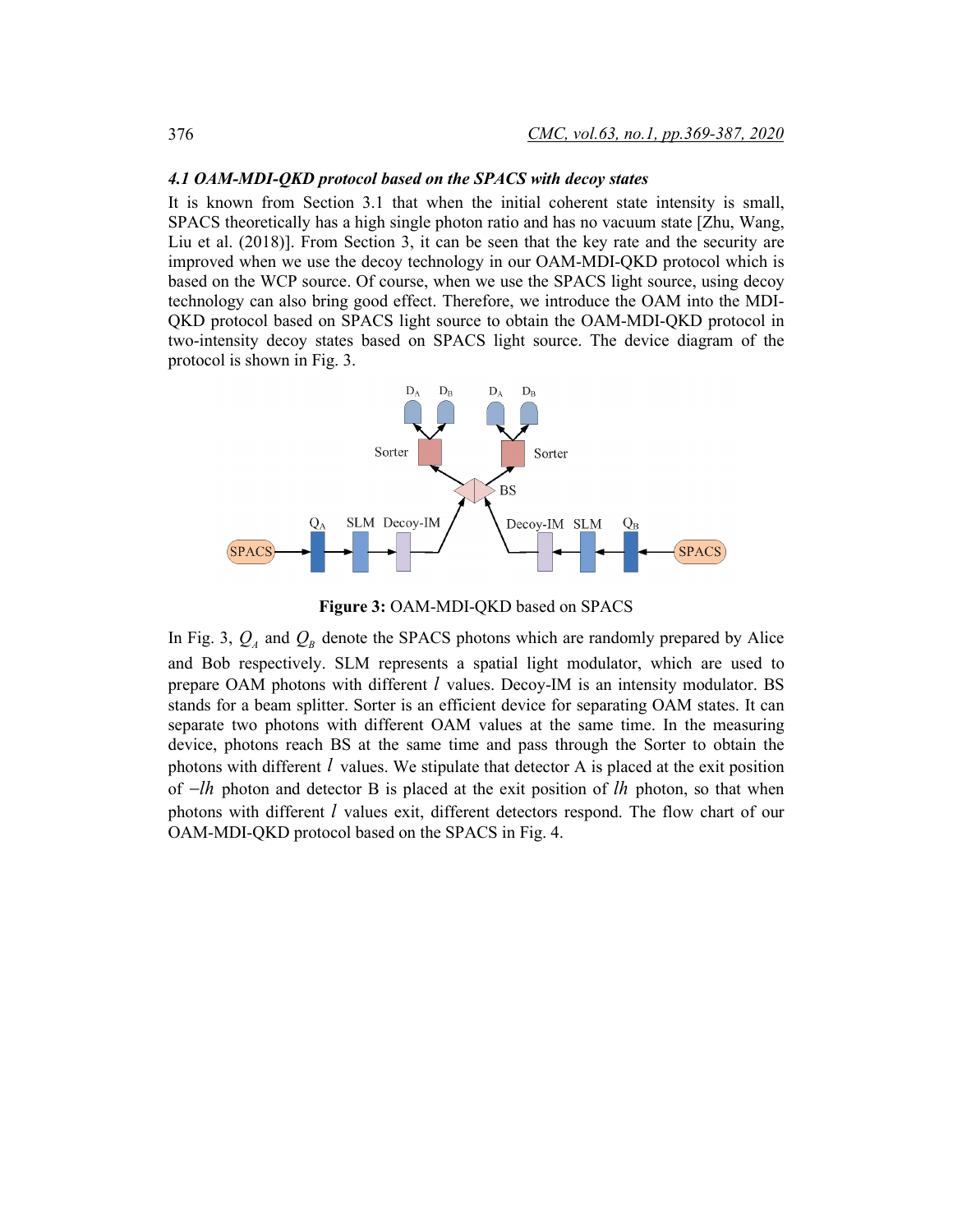#### *4.1 OAM-MDI-QKD protocol based on the SPACS with decoy states*

It is known from Section 3.1 that when the initial coherent state intensity is small, SPACS theoretically has a high single photon ratio and has no vacuum state [Zhu, Wang, Liu et al. (2018)]. From Section 3, it can be seen that the key rate and the security are improved when we use the decoy technology in our OAM-MDI-QKD protocol which is based on the WCP source. Of course, when we use the SPACS light source, using decoy technology can also bring good effect. Therefore, we introduce the OAM into the MDI-QKD protocol based on SPACS light source to obtain the OAM-MDI-QKD protocol in two-intensity decoy states based on SPACS light source. The device diagram of the protocol is shown in Fig. 3.



**Figure 3:** OAM-MDI-QKD based on SPACS

In Fig. 3,  $Q_A$  and  $Q_B$  denote the SPACS photons which are randomly prepared by Alice and Bob respectively. SLM represents a spatial light modulator, which are used to prepare OAM photons with different *l* values. Decoy-IM is an intensity modulator. BS stands for a beam splitter. Sorter is an efficient device for separating OAM states. It can separate two photons with different OAM values at the same time. In the measuring device, photons reach BS at the same time and pass through the Sorter to obtain the photons with different *l* values. We stipulate that detector A is placed at the exit position of −*lh* photon and detector B is placed at the exit position of *lh* photon, so that when photons with different *l* values exit, different detectors respond. The flow chart of our OAM-MDI-QKD protocol based on the SPACS in Fig. 4.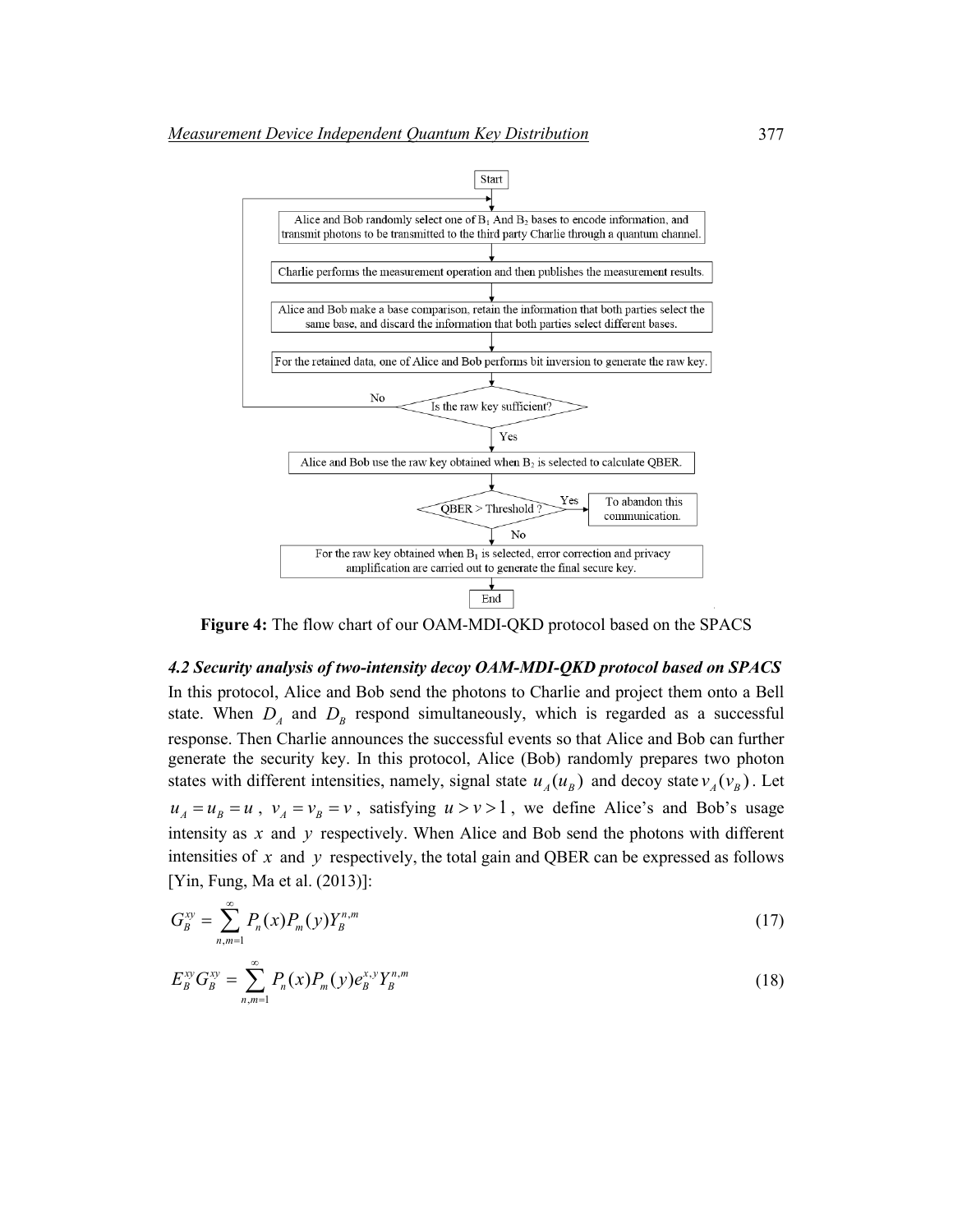

**Figure 4:** The flow chart of our OAM-MDI-QKD protocol based on the SPACS

*4.2 Security analysis of two-intensity decoy OAM-MDI-QKD protocol based on SPACS* In this protocol, Alice and Bob send the photons to Charlie and project them onto a Bell state. When  $D_A$  and  $D_B$  respond simultaneously, which is regarded as a successful response. Then Charlie announces the successful events so that Alice and Bob can further generate the security key. In this protocol, Alice (Bob) randomly prepares two photon states with different intensities, namely, signal state  $u_A(u_B)$  and decoy state  $v_A(v_B)$ . Let  $u_A = u_B = u$ ,  $v_A = v_B = v$ , satisfying  $u > v > 1$ , we define Alice's and Bob's usage intensity as *x* and *y* respectively. When Alice and Bob send the photons with different intensities of  $x$  and  $y$  respectively, the total gain and QBER can be expressed as follows [Yin, Fung, Ma et al. (2013)]:

$$
G_B^{xy} = \sum_{n,m=1}^{\infty} P_n(x) P_m(y) Y_B^{n,m}
$$
\n(17)

$$
E_B^{xy} G_B^{xy} = \sum_{n,m=1}^{\infty} P_n(x) P_m(y) e_B^{x,y} Y_B^{n,m}
$$
\n(18)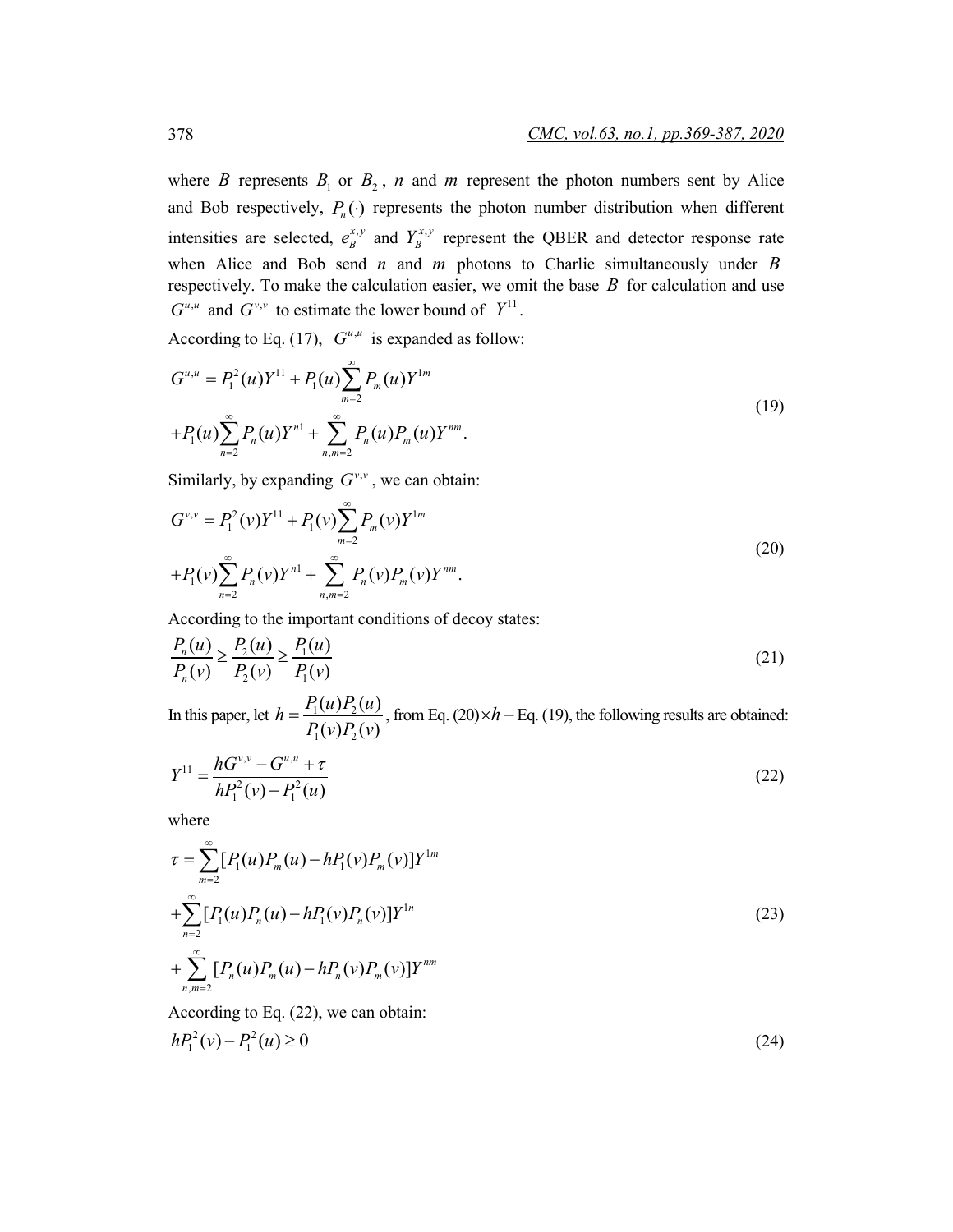where *B* represents  $B_1$  or  $B_2$ , *n* and *m* represent the photon numbers sent by Alice and Bob respectively,  $P_n(\cdot)$  represents the photon number distribution when different intensities are selected,  $e_B^{x,y}$  and  $Y_B^{x,y}$  represent the QBER and detector response rate when Alice and Bob send *n* and *m* photons to Charlie simultaneously under *B* respectively. To make the calculation easier, we omit the base *B* for calculation and use  $G^{u,u}$  and  $G^{v,v}$  to estimate the lower bound of  $Y^{11}$ .

According to Eq. (17),  $G^{u,u}$  is expanded as follow:

$$
G^{u,u} = P_1^2(u)Y^{11} + P_1(u)\sum_{m=2}^{\infty} P_m(u)Y^{1m}
$$
  
+
$$
P_1(u)\sum_{n=2}^{\infty} P_n(u)Y^{n1} + \sum_{n,m=2}^{\infty} P_n(u)P_m(u)Y^{nm}.
$$
 (19)

Similarly, by expanding  $G^{\nu,\nu}$ , we can obtain:

$$
G^{\nu,\nu} = P_1^2(\nu)Y^{11} + P_1(\nu)\sum_{m=2}^{\infty} P_m(\nu)Y^{1m}
$$
  
+
$$
P_1(\nu)\sum_{n=2}^{\infty} P_n(\nu)Y^{n1} + \sum_{n,m=2}^{\infty} P_n(\nu)P_m(\nu)Y^{nm}.
$$
 (20)

According to the important conditions of decoy states:

$$
\frac{P_n(u)}{P_n(v)} \ge \frac{P_2(u)}{P_2(v)} \ge \frac{P_1(u)}{P_1(v)}
$$
\n(21)

In this paper, let  $h = \frac{I_1(a)I_2}{D(a)D}$  $1^{v/12}$  $h = \frac{P_1(u)P_2(u)}{P_1(v)P_2(v)}$ , from Eq. (20)× $h$  – Eq. (19), the following results are obtained:

$$
Y^{11} = \frac{hG^{v,v} - G^{u,u} + \tau}{hP_1^2(v) - P_1^2(u)}
$$
\n(22)

where

$$
\tau = \sum_{m=2}^{\infty} [P_1(u)P_m(u) - hP_1(v)P_m(v)]Y^{1m}
$$
  
+
$$
\sum_{n=2}^{\infty} [P_1(u)P_n(u) - hP_1(v)P_n(v)]Y^{1n}
$$
  
+
$$
\sum_{n,m=2}^{\infty} [P_n(u)P_m(u) - hP_n(v)P_m(v)]Y^{nm}
$$
\n(23)

According to Eq. (22), we can obtain:  $hP_1^2(v) - P_1^2(u) \ge 0$  (24)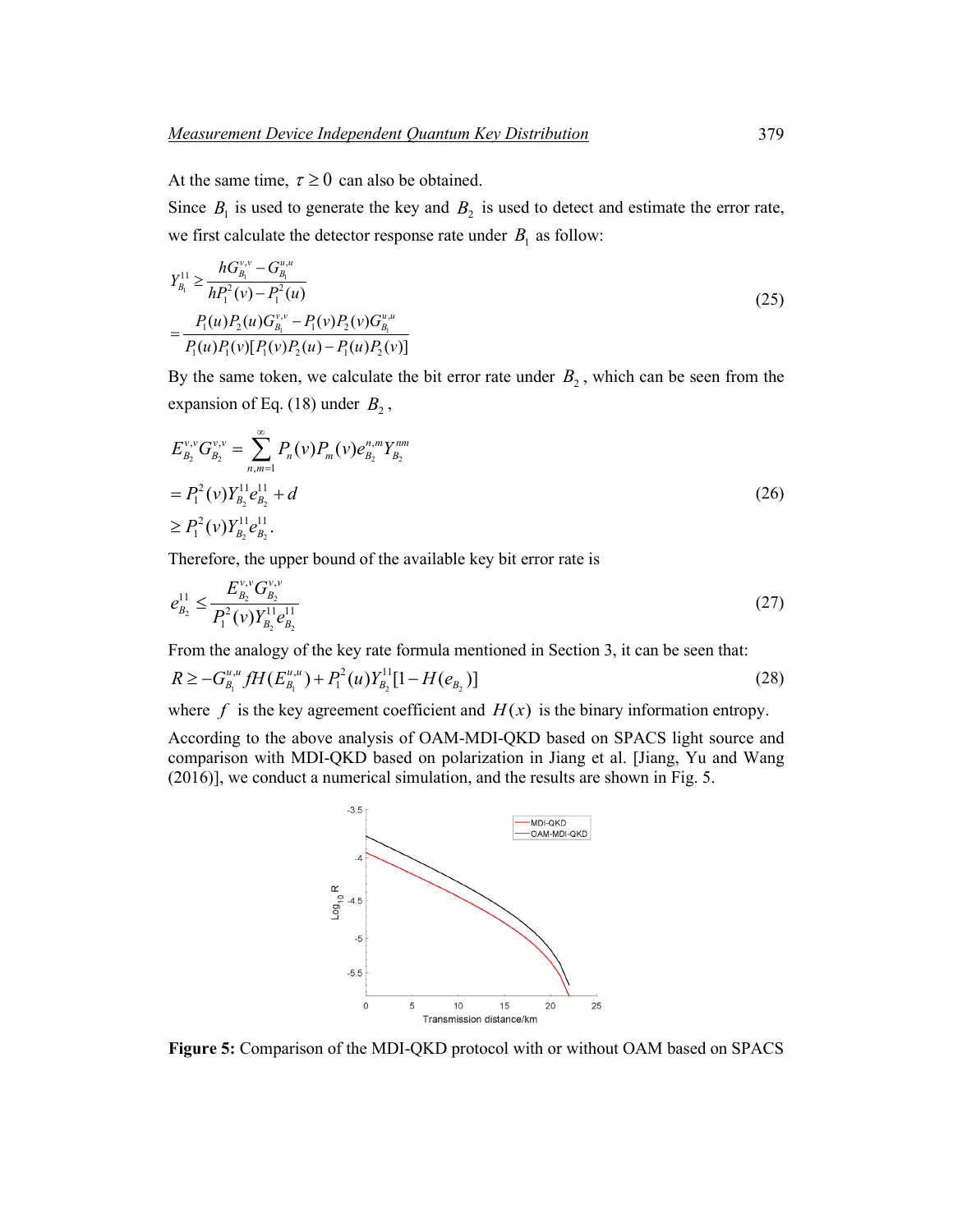At the same time,  $\tau \geq 0$  can also be obtained.

Since  $B_1$  is used to generate the key and  $B_2$  is used to detect and estimate the error rate, we first calculate the detector response rate under  $B_1$  as follow:

$$
Y_{B_1}^{11} \ge \frac{hG_{B_1}^{v,v} - G_{B_1}^{u,u}}{hP_1^2(v) - P_1^2(u)}
$$
  
= 
$$
\frac{P_1(u)P_2(u)G_{B_1}^{v,v} - P_1(v)P_2(v)G_{B_1}^{u,u}}{P_1(u)P_1(v)[P_1(v)P_2(u) - P_1(u)P_2(v)]}
$$
 (25)

By the same token, we calculate the bit error rate under  $B_2$ , which can be seen from the expansion of Eq. (18) under  $B_2$ ,

$$
E_{B_2}^{\nu,\nu} G_{B_2}^{\nu,\nu} = \sum_{n,m=1}^{\infty} P_n(\nu) P_m(\nu) e_{B_2}^{n,m} Y_{B_2}^{nm}
$$
  
=  $P_1^2(\nu) Y_{B_2}^{11} e_{B_2}^{11} + d$  (26)  

$$
\ge P_1^2(\nu) Y_{B_2}^{11} e_{B_2}^{11}.
$$

Therefore, the upper bound of the available key bit error rate is

$$
e_{B_2}^{11} \le \frac{E_{B_2}^{\nu,\nu} G_{B_2}^{\nu,\nu}}{P_1^2(\nu) Y_{B_2}^{11} e_{B_2}^{11}}\tag{27}
$$

From the analogy of the key rate formula mentioned in Section 3, it can be seen that:

$$
R \ge -G_{B_1}^{u,u} fH(E_{B_1}^{u,u}) + P_1^2(u)Y_{B_2}^{11}[1 - H(e_{B_2})]
$$
\n(28)

where  $f$  is the key agreement coefficient and  $H(x)$  is the binary information entropy.

According to the above analysis of OAM-MDI-QKD based on SPACS light source and comparison with MDI-QKD based on polarization in Jiang et al. [Jiang, Yu and Wang (2016)], we conduct a numerical simulation, and the results are shown in Fig. 5.



**Figure 5:** Comparison of the MDI-QKD protocol with or without OAM based on SPACS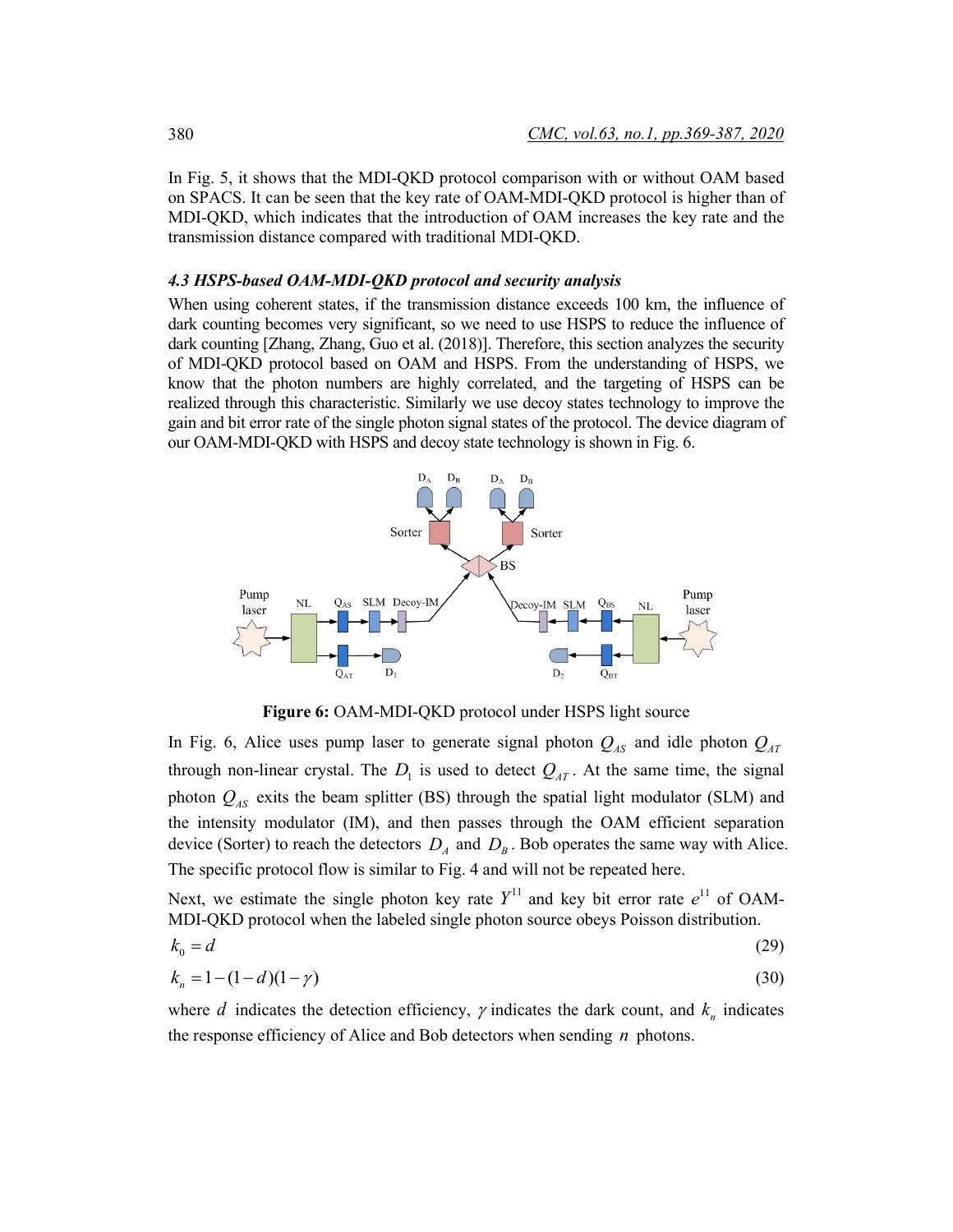In Fig. 5, it shows that the MDI-QKD protocol comparison with or without OAM based on SPACS. It can be seen that the key rate of OAM-MDI-QKD protocol is higher than of MDI-QKD, which indicates that the introduction of OAM increases the key rate and the transmission distance compared with traditional MDI-QKD.

#### *4.3 HSPS-based OAM-MDI-QKD protocol and security analysis*

When using coherent states, if the transmission distance exceeds 100 km, the influence of dark counting becomes very significant, so we need to use HSPS to reduce the influence of dark counting [Zhang, Zhang, Guo et al. (2018)]. Therefore, this section analyzes the security of MDI-QKD protocol based on OAM and HSPS. From the understanding of HSPS, we know that the photon numbers are highly correlated, and the targeting of HSPS can be realized through this characteristic. Similarly we use decoy states technology to improve the gain and bit error rate of the single photon signal states of the protocol. The device diagram of our OAM-MDI-QKD with HSPS and decoy state technology is shown in Fig. 6.



**Figure 6:** OAM-MDI-QKD protocol under HSPS light source

In Fig. 6, Alice uses pump laser to generate signal photon  $Q_{AS}$  and idle photon  $Q_{AT}$ through non-linear crystal. The  $D_1$  is used to detect  $Q_{AT}$ . At the same time, the signal photon  $Q_{AS}$  exits the beam splitter (BS) through the spatial light modulator (SLM) and the intensity modulator (IM), and then passes through the OAM efficient separation device (Sorter) to reach the detectors  $D_A$  and  $D_B$ . Bob operates the same way with Alice. The specific protocol flow is similar to Fig. 4 and will not be repeated here.

Next, we estimate the single photon key rate  $Y^{11}$  and key bit error rate  $e^{11}$  of OAM-MDI-QKD protocol when the labeled single photon source obeys Poisson distribution.

$$
k_0 = d \tag{29}
$$

$$
k_n = 1 - (1 - d)(1 - \gamma) \tag{30}
$$

where *d* indicates the detection efficiency,  $\gamma$  indicates the dark count, and  $k_n$  indicates the response efficiency of Alice and Bob detectors when sending *n* photons.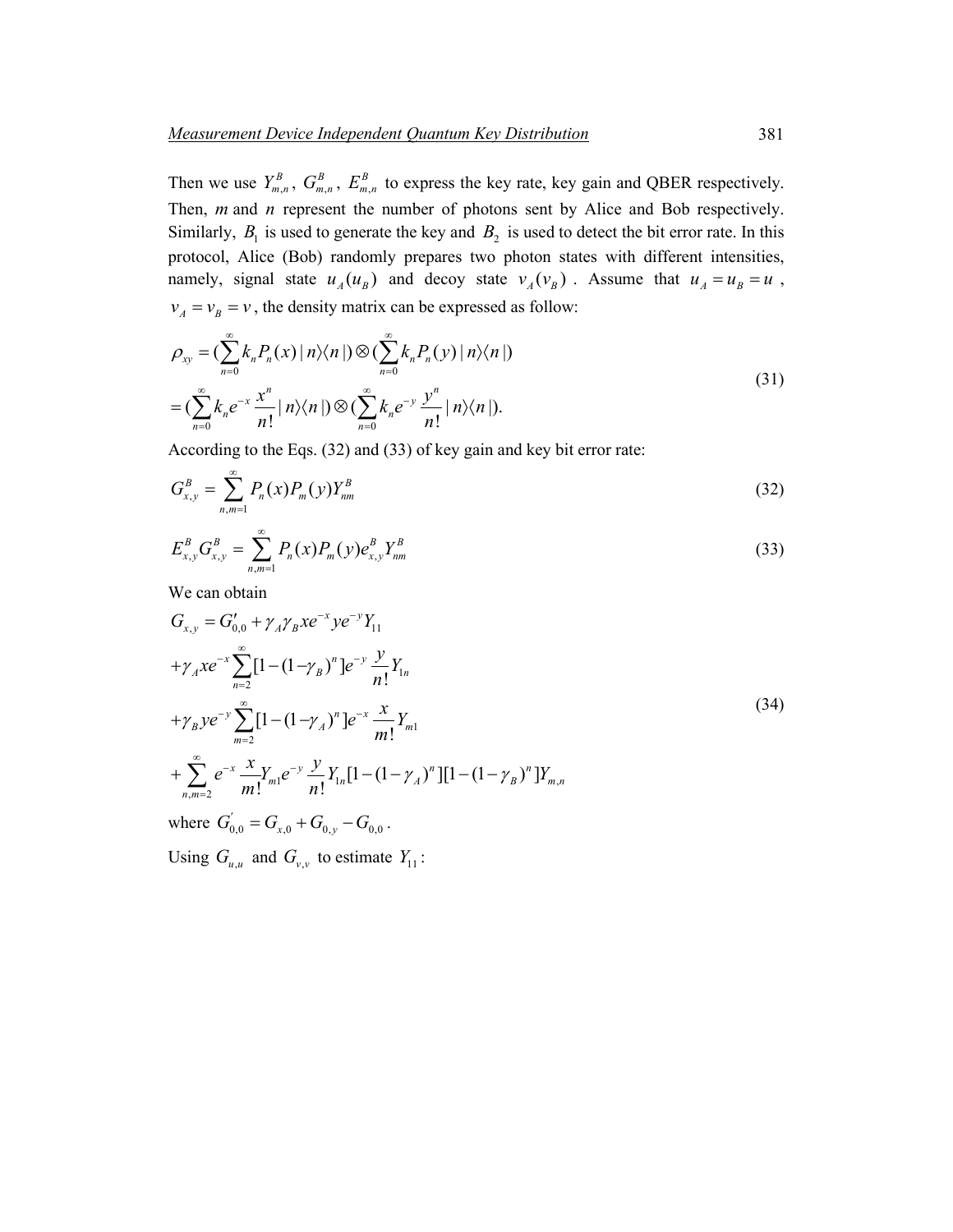Then we use  $Y_{m,n}^B$ ,  $G_{m,n}^B$ ,  $E_{m,n}^B$  to express the key rate, key gain and QBER respectively. Then, *m* and *n* represent the number of photons sent by Alice and Bob respectively. Similarly,  $B_1$  is used to generate the key and  $B_2$  is used to detect the bit error rate. In this protocol, Alice (Bob) randomly prepares two photon states with different intensities, namely, signal state  $u_A(u_B)$  and decoy state  $v_A(v_B)$ . Assume that  $u_A = u_B = u$ ,  $v_A = v_B = v$ , the density matrix can be expressed as follow:

$$
\rho_{xy} = \left(\sum_{n=0}^{\infty} k_n P_n(x) \mid n \rangle \langle n \mid \right) \otimes \left(\sum_{n=0}^{\infty} k_n P_n(y) \mid n \rangle \langle n \mid \right)
$$
\n
$$
= \left(\sum_{n=0}^{\infty} k_n e^{-x} \frac{x^n}{n!} \mid n \rangle \langle n \mid \right) \otimes \left(\sum_{n=0}^{\infty} k_n e^{-y} \frac{y^n}{n!} \mid n \rangle \langle n \mid \right).
$$
\n(31)

According to the Eqs. (32) and (33) of key gain and key bit error rate:

$$
G_{x,y}^B = \sum_{n,m=1}^{\infty} P_n(x) P_m(y) Y_{nm}^B
$$
 (32)

$$
E_{x,y}^B G_{x,y}^B = \sum_{n,m=1}^{\infty} P_n(x) P_m(y) e_{x,y}^B Y_{nm}^B
$$
\n(33)

We can obtain

$$
G_{x,y} = G'_{0,0} + \gamma_A \gamma_B x e^{-x} y e^{-y} Y_{11}
$$
  
+ $\gamma_A x e^{-x} \sum_{n=2}^{\infty} [1 - (1 - \gamma_B)^n] e^{-y} \frac{y}{n!} Y_{1n}$   
+ $\gamma_B y e^{-y} \sum_{m=2}^{\infty} [1 - (1 - \gamma_A)^n] e^{-x} \frac{x}{m!} Y_{m1}$   
+ $\sum_{n,m=2}^{\infty} e^{-x} \frac{x}{m!} Y_{m1} e^{-y} \frac{y}{n!} Y_{1n} [1 - (1 - \gamma_A)^n] [1 - (1 - \gamma_B)^n] Y_{m,n}$   
where  $G'_{0,0} = G_{x,0} + G_{0,y} - G_{0,0}$ .

Using  $G_{u,u}$  and  $G_{v,v}$  to estimate  $Y_{11}$ :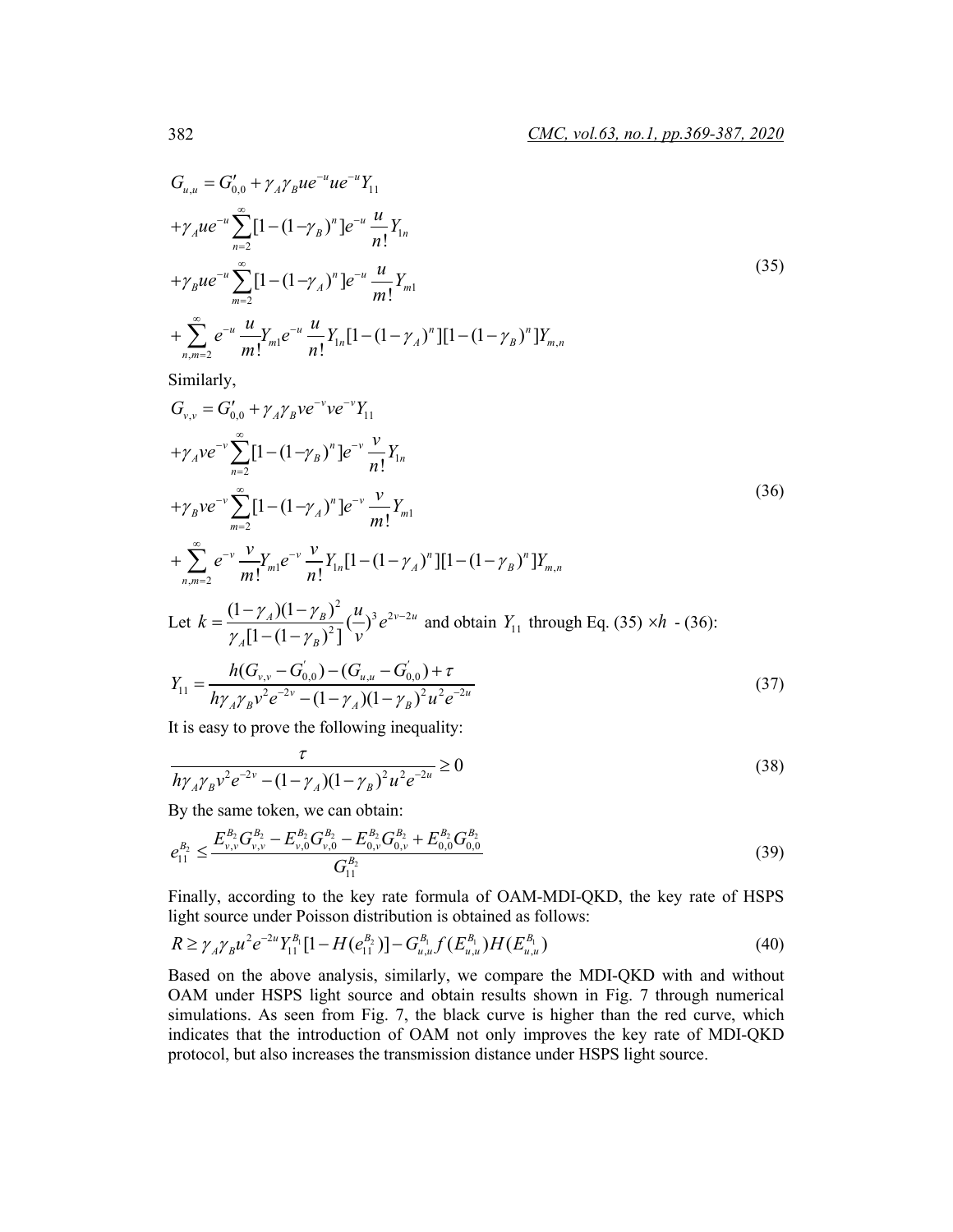$$
G_{u,u} = G'_{0,0} + \gamma_A \gamma_B u e^{-u} u e^{-u} Y_{11}
$$
  
+ $\gamma_A u e^{-u} \sum_{n=2}^{\infty} [1 - (1 - \gamma_B)^n] e^{-u} \frac{u}{n!} Y_{1n}$   
+ $\gamma_B u e^{-u} \sum_{m=2}^{\infty} [1 - (1 - \gamma_A)^n] e^{-u} \frac{u}{m!} Y_{m1}$   
+ $\sum_{n,m=2}^{\infty} e^{-u} \frac{u}{m!} Y_{m1} e^{-u} \frac{u}{n!} Y_{1n} [1 - (1 - \gamma_A)^n] [1 - (1 - \gamma_B)^n] Y_{m,n}$ 

Similarly,

$$
G_{v,v} = G'_{0,0} + \gamma_A \gamma_B v e^{-v} v e^{-v} Y_{11}
$$
  
+ $\gamma_A v e^{-v} \sum_{n=2}^{\infty} [1 - (1 - \gamma_B)^n] e^{-v} \frac{v}{n!} Y_{1n}$   
+ $\gamma_B v e^{-v} \sum_{m=2}^{\infty} [1 - (1 - \gamma_A)^n] e^{-v} \frac{v}{m!} Y_{m1}$   
+ $\sum_{n,m=2}^{\infty} e^{-v} \frac{v}{m!} Y_{m1} e^{-v} \frac{v}{n!} Y_{1n} [1 - (1 - \gamma_A)^n] [1 - (1 - \gamma_B)^n] Y_{m,n}$   
Let  $k = \frac{(1 - \gamma_A)(1 - \gamma_B)^2}{\gamma_A [1 - (1 - \gamma_B)^2]} (\frac{u}{v})^3 e^{2v - 2u}$  and obtain  $Y_{11}$  through Eq. (35)  $\times h$  - (36):  

$$
Y_{11} = \frac{h(G_{v,v} - G_{0,0}) - (G_{u,u} - G_{0,0}') + \tau}{h \gamma_A \gamma_B v^2 e^{-2v} - (1 - \gamma_A)(1 - \gamma_B)^2 u^2 e^{-2u}}
$$
(37)

It is easy to prove the following inequality:

τ

$$
\frac{t}{h\gamma_A\gamma_B v^2 e^{-2v} - (1 - \gamma_A)(1 - \gamma_B)^2 u^2 e^{-2u}} \ge 0
$$
\n(38)

By the same token, we can obtain:

$$
e_{11}^{B_2} \le \frac{E_{\nu,\nu}^{B_2} G_{\nu,\nu}^{B_2} - E_{\nu,0}^{B_2} G_{\nu,0}^{B_2} - E_{0,\nu}^{B_2} G_{0,\nu}^{B_2} + E_{0,0}^{B_2} G_{0,0}^{B_2}}{G_{11}^{B_2}}
$$
\n
$$
(39)
$$

Finally, according to the key rate formula of OAM-MDI-QKD, the key rate of HSPS light source under Poisson distribution is obtained as follows:

$$
R \geq \gamma_A \gamma_B u^2 e^{-2u} Y_{11}^{B_1} [1 - H(e_{11}^{B_2})] - G_{u,u}^{B_1} f(E_{u,u}^{B_1}) H(E_{u,u}^{B_1})
$$
\n
$$
\tag{40}
$$

Based on the above analysis, similarly, we compare the MDI-QKD with and without OAM under HSPS light source and obtain results shown in Fig. 7 through numerical simulations. As seen from Fig. 7, the black curve is higher than the red curve, which indicates that the introduction of OAM not only improves the key rate of MDI-QKD protocol, but also increases the transmission distance under HSPS light source.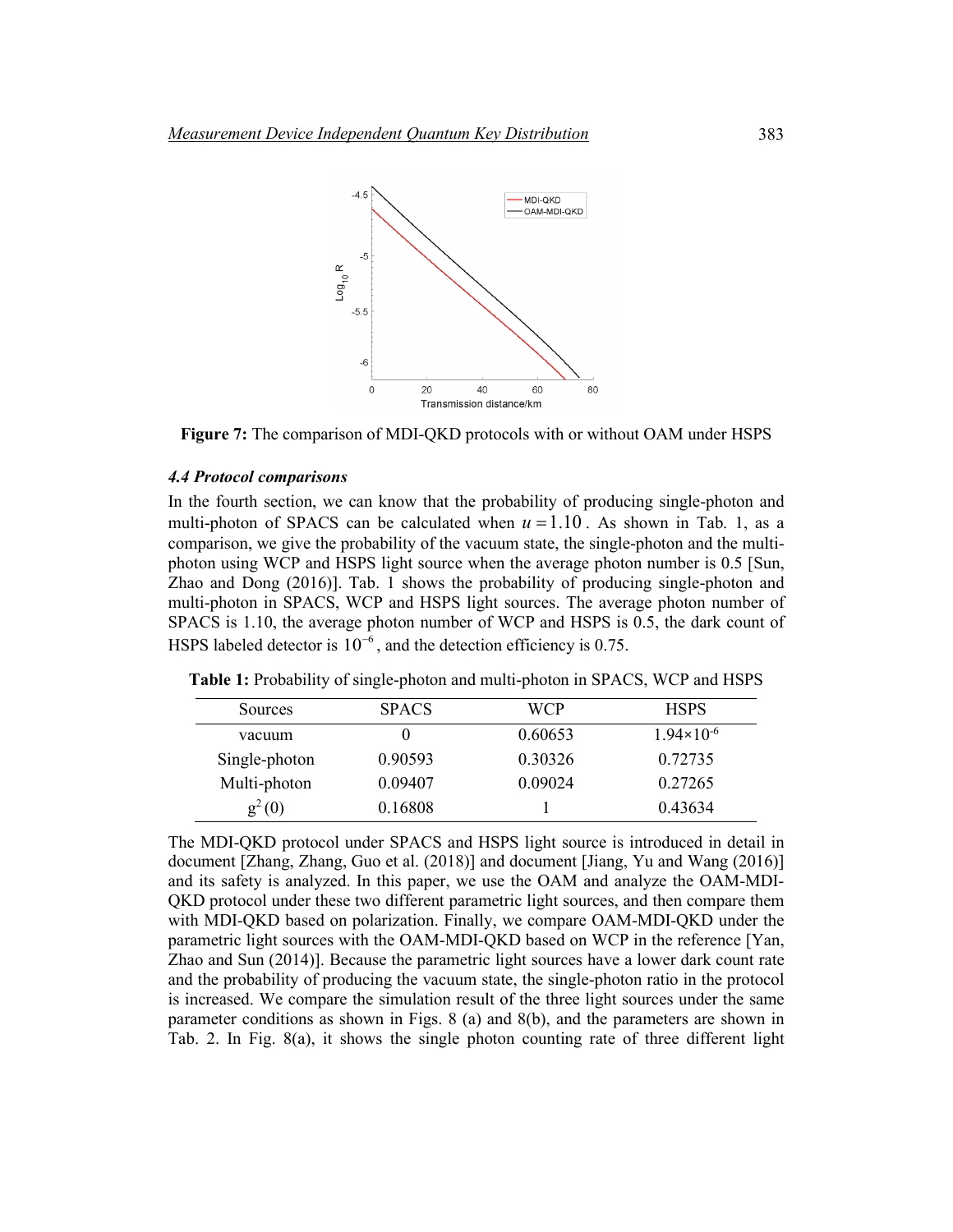

**Figure 7:** The comparison of MDI-QKD protocols with or without OAM under HSPS

# *4.4 Protocol comparisons*

In the fourth section, we can know that the probability of producing single-photon and multi-photon of SPACS can be calculated when  $u = 1.10$ . As shown in Tab. 1, as a comparison, we give the probability of the vacuum state, the single-photon and the multiphoton using WCP and HSPS light source when the average photon number is 0.5 [Sun, Zhao and Dong (2016)]. Tab. 1 shows the probability of producing single-photon and multi-photon in SPACS, WCP and HSPS light sources. The average photon number of SPACS is 1.10, the average photon number of WCP and HSPS is 0.5, the dark count of HSPS labeled detector is  $10^{-6}$ , and the detection efficiency is 0.75.

| <b>Sources</b> | <b>SPACS</b> | WCP     | <b>HSPS</b>           |
|----------------|--------------|---------|-----------------------|
| vacuum         | 0            | 0.60653 | $1.94 \times 10^{-6}$ |
| Single-photon  | 0.90593      | 0.30326 | 0.72735               |
| Multi-photon   | 0.09407      | 0.09024 | 0.27265               |
| $g^2(0)$       | 0.16808      |         | 0.43634               |

**Table 1:** Probability of single-photon and multi-photon in SPACS, WCP and HSPS

The MDI-QKD protocol under SPACS and HSPS light source is introduced in detail in document [Zhang, Zhang, Guo et al. (2018)] and document [Jiang, Yu and Wang (2016)] and its safety is analyzed. In this paper, we use the OAM and analyze the OAM-MDI-QKD protocol under these two different parametric light sources, and then compare them with MDI-QKD based on polarization. Finally, we compare OAM-MDI-QKD under the parametric light sources with the OAM-MDI-QKD based on WCP in the reference [Yan, Zhao and Sun (2014)]. Because the parametric light sources have a lower dark count rate and the probability of producing the vacuum state, the single-photon ratio in the protocol is increased. We compare the simulation result of the three light sources under the same parameter conditions as shown in Figs. 8 (a) and 8(b), and the parameters are shown in Tab. 2. In Fig. 8(a), it shows the single photon counting rate of three different light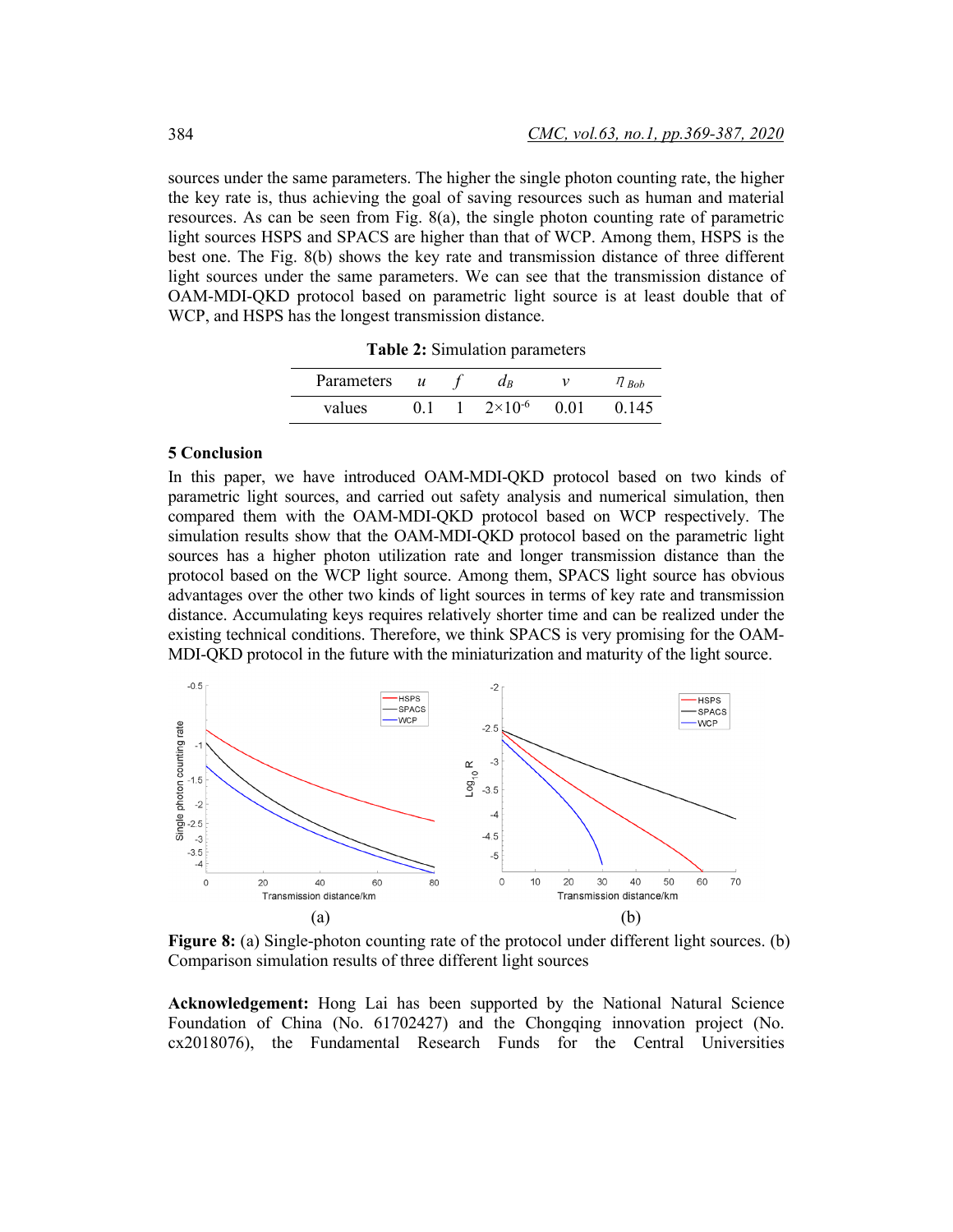sources under the same parameters. The higher the single photon counting rate, the higher the key rate is, thus achieving the goal of saving resources such as human and material resources. As can be seen from Fig. 8(a), the single photon counting rate of parametric light sources HSPS and SPACS are higher than that of WCP. Among them, HSPS is the best one. The Fig. 8(b) shows the key rate and transmission distance of three different light sources under the same parameters. We can see that the transmission distance of OAM-MDI-QKD protocol based on parametric light source is at least double that of WCP, and HSPS has the longest transmission distance.

**Table 2:** Simulation parameters

| Parameters | $\boldsymbol{u}$ | $a_B$              |      | $^{1}$ l Bob |
|------------|------------------|--------------------|------|--------------|
| values     |                  | $2 \times 10^{-6}$ | 0.01 | 0.145        |

# **5 Conclusion**

In this paper, we have introduced OAM-MDI-QKD protocol based on two kinds of parametric light sources, and carried out safety analysis and numerical simulation, then compared them with the OAM-MDI-QKD protocol based on WCP respectively. The simulation results show that the OAM-MDI-QKD protocol based on the parametric light sources has a higher photon utilization rate and longer transmission distance than the protocol based on the WCP light source. Among them, SPACS light source has obvious advantages over the other two kinds of light sources in terms of key rate and transmission distance. Accumulating keys requires relatively shorter time and can be realized under the existing technical conditions. Therefore, we think SPACS is very promising for the OAM-MDI-QKD protocol in the future with the miniaturization and maturity of the light source.



**Figure 8:** (a) Single-photon counting rate of the protocol under different light sources. (b) Comparison simulation results of three different light sources

**Acknowledgement:** Hong Lai has been supported by the National Natural Science Foundation of China (No. 61702427) and the Chongqing innovation project (No. cx2018076), the Fundamental Research Funds for the Central Universities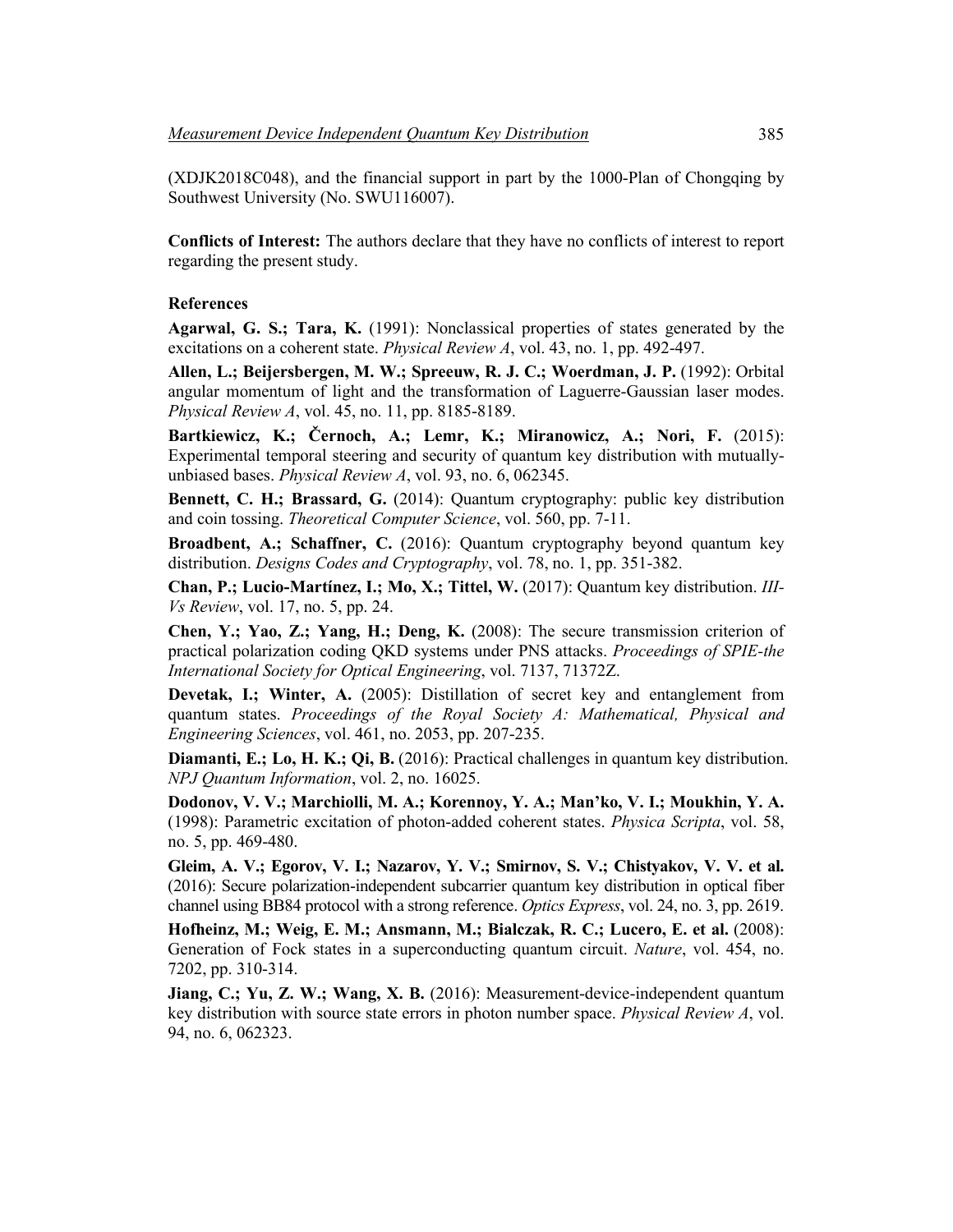(XDJK2018C048), and the financial support in part by the 1000-Plan of Chongqing by Southwest University (No. SWU116007).

**Conflicts of Interest:** The authors declare that they have no conflicts of interest to report regarding the present study.

#### **References**

**Agarwal, G. S.; Tara, K.** (1991): Nonclassical properties of states generated by the excitations on a coherent state. *Physical Review A*, vol. 43, no. 1, pp. 492-497.

**Allen, L.; Beijersbergen, M. W.; Spreeuw, R. J. C.; Woerdman, J. P.** (1992): Orbital angular momentum of light and the transformation of Laguerre-Gaussian laser modes. *Physical Review A*, vol. 45, no. 11, pp. 8185-8189.

**Bartkiewicz, K.; Černoch, A.; Lemr, K.; Miranowicz, A.; Nori, F.** (2015): Experimental temporal steering and security of quantum key distribution with mutuallyunbiased bases. *Physical Review A*, vol. 93, no. 6, 062345.

**Bennett, C. H.; Brassard, G.** (2014): Quantum cryptography: public key distribution and coin tossing. *Theoretical Computer Science*, vol. 560, pp. 7-11.

**Broadbent, A.; Schaffner, C.** (2016): Quantum cryptography beyond quantum key distribution. *Designs Codes and Cryptography*, vol. 78, no. 1, pp. 351-382.

**Chan, P.; Lucio-Martínez, I.; Mo, X.; Tittel, W.** (2017): Quantum key distribution. *III-Vs Review*, vol. 17, no. 5, pp. 24.

**Chen, Y.; Yao, Z.; Yang, H.; Deng, K.** (2008): The secure transmission criterion of practical polarization coding QKD systems under PNS attacks. *Proceedings of SPIE-the International Society for Optical Engineering*, vol. 7137, 71372Z.

**Devetak, I.; Winter, A.** (2005): Distillation of secret key and entanglement from quantum states. *Proceedings of the Royal Society A: Mathematical, Physical and Engineering Sciences*, vol. 461, no. 2053, pp. 207-235.

**Diamanti, E.; Lo, H. K.; Qi, B.** (2016): Practical challenges in quantum key distribution. *NPJ Quantum Information*, vol. 2, no. 16025.

**Dodonov, V. V.; Marchiolli, M. A.; Korennoy, Y. A.; Man'ko, V. I.; Moukhin, Y. A.** (1998): Parametric excitation of photon-added coherent states. *Physica Scripta*, vol. 58, no. 5, pp. 469-480.

**Gleim, A. V.; Egorov, V. I.; Nazarov, Y. V.; Smirnov, S. V.; Chistyakov, V. V. et al.** (2016): Secure polarization-independent subcarrier quantum key distribution in optical fiber channel using BB84 protocol with a strong reference. *Optics Express*, vol. 24, no. 3, pp. 2619.

**Hofheinz, M.; Weig, E. M.; Ansmann, M.; Bialczak, R. C.; Lucero, E. et al.** (2008): Generation of Fock states in a superconducting quantum circuit. *Nature*, vol. 454, no. 7202, pp. 310-314.

**Jiang, C.; Yu, Z. W.; Wang, X. B.** (2016): Measurement-device-independent quantum key distribution with source state errors in photon number space. *Physical Review A*, vol. 94, no. 6, 062323.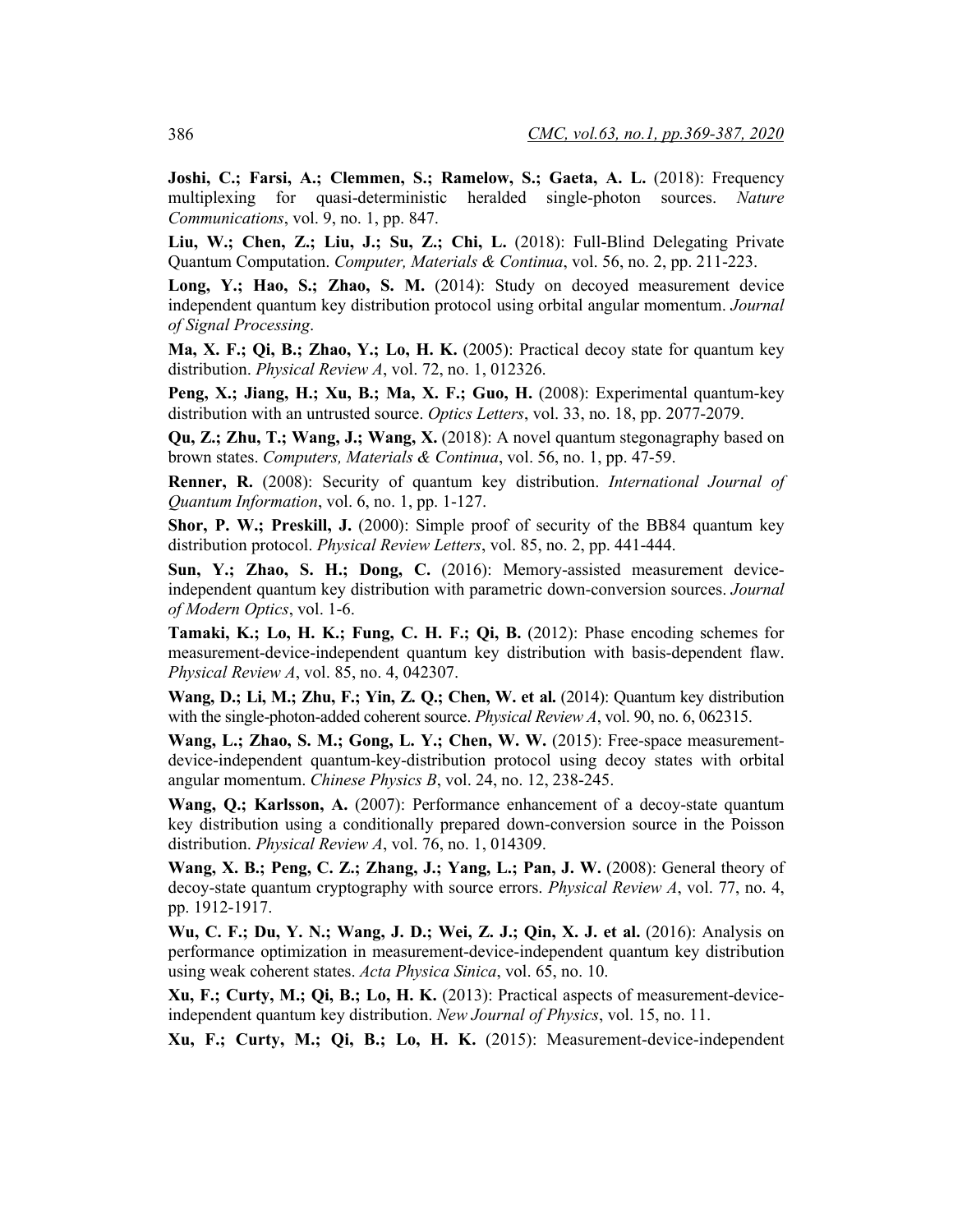**Joshi, C.; Farsi, A.; Clemmen, S.; Ramelow, S.; Gaeta, A. L.** (2018): Frequency multiplexing for quasi-deterministic heralded single-photon sources. *Nature Communications*, vol. 9, no. 1, pp. 847.

**Liu, W.; Chen, Z.; Liu, J.; Su, Z.; Chi, L.** (2018): Full-Blind Delegating Private Quantum Computation. *Computer, Materials & Continua*, vol. 56, no. 2, pp. 211-223.

**Long, Y.; Hao, S.; Zhao, S. M.** (2014): Study on decoyed measurement device independent quantum key distribution protocol using orbital angular momentum. *Journal of Signal Processing*.

**Ma, X. F.; Qi, B.; Zhao, Y.; Lo, H. K.** (2005): Practical decoy state for quantum key distribution. *Physical Review A*, vol. 72, no. 1, 012326.

**Peng, X.; Jiang, H.; Xu, B.; Ma, X. F.; Guo, H.** (2008): Experimental quantum-key distribution with an untrusted source. *Optics Letters*, vol. 33, no. 18, pp. 2077-2079.

**Qu, Z.; Zhu, T.; Wang, J.; Wang, X.** (2018): A novel quantum stegonagraphy based on brown states. *Computers, Materials & Continua*, vol. 56, no. 1, pp. 47-59.

**Renner, R.** (2008): Security of quantum key distribution. *International Journal of Quantum Information*, vol. 6, no. 1, pp. 1-127.

**Shor, P. W.; Preskill, J.** (2000): Simple proof of security of the BB84 quantum key distribution protocol. *Physical Review Letters*, vol. 85, no. 2, pp. 441-444.

**Sun, Y.; Zhao, S. H.; Dong, C.** (2016): Memory-assisted measurement deviceindependent quantum key distribution with parametric down-conversion sources. *Journal of Modern Optics*, vol. 1-6.

**Tamaki, K.; Lo, H. K.; Fung, C. H. F.; Qi, B.** (2012): Phase encoding schemes for measurement-device-independent quantum key distribution with basis-dependent flaw. *Physical Review A*, vol. 85, no. 4, 042307.

**Wang, D.; Li, M.; Zhu, F.; Yin, Z. Q.; Chen, W. et al.** (2014): Quantum key distribution with the single-photon-added coherent source. *Physical Review A*, vol. 90, no. 6, 062315.

**Wang, L.; Zhao, S. M.; Gong, L. Y.; Chen, W. W.** (2015): Free-space measurementdevice-independent quantum-key-distribution protocol using decoy states with orbital angular momentum. *Chinese Physics B*, vol. 24, no. 12, 238-245.

**Wang, O.; Karlsson, A.** (2007): Performance enhancement of a decoy-state quantum key distribution using a conditionally prepared down-conversion source in the Poisson distribution. *Physical Review A*, vol. 76, no. 1, 014309.

**Wang, X. B.; Peng, C. Z.; Zhang, J.; Yang, L.; Pan, J. W.** (2008): General theory of decoy-state quantum cryptography with source errors. *Physical Review A*, vol. 77, no. 4, pp. 1912-1917.

**Wu, C. F.; Du, Y. N.; Wang, J. D.; Wei, Z. J.; Qin, X. J. et al.** (2016): Analysis on performance optimization in measurement-device-independent quantum key distribution using weak coherent states. *Acta Physica Sinica*, vol. 65, no. 10.

**Xu, F.; Curty, M.; Qi, B.; Lo, H. K.** (2013): Practical aspects of measurement-deviceindependent quantum key distribution. *New Journal of Physics*, vol. 15, no. 11.

**Xu, F.; Curty, M.; Qi, B.; Lo, H. K.** (2015): Measurement-device-independent